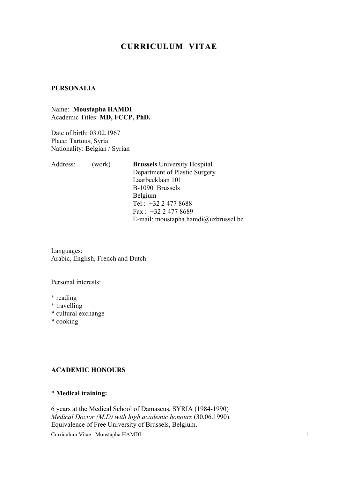# **CURRICULUM VITAE**

## **PERSONALIA**

Name: **Moustapha HAMDI** Academic Titles: **MD, FCCP, PhD.**

Date of birth: 03.02.1967 Place: Tartous, Syria Nationality: Belgian / Syrian

| Address: | (work) | <b>Brussels</b> University Hospital  |
|----------|--------|--------------------------------------|
|          |        | Department of Plastic Surgery        |
|          |        | Laarbeeklaan 101                     |
|          |        | B-1090 Brussels                      |
|          |        | <b>Belgium</b>                       |
|          |        | Tel: $+3224778688$                   |
|          |        | Fax: $+3224778689$                   |
|          |        | E-mail: moustapha.hamdi@uzbrussel.be |
|          |        |                                      |

Languages: Arabic, English, French and Dutch

Personal interests:

- \* reading
- \* travelling
- \* cultural exchange
- \* cooking

#### **ACADEMIC HONOURS**

# \* **Medical training:**

Curriculum Vitae Moustapha HAMDI 1 6 years at the Medical School of Damascus, SYRIA (1984-1990) *Medical Doctor (M.D) with high academic honours* (30.06.1990) Equivalence of Free University of Brussels, Belgium.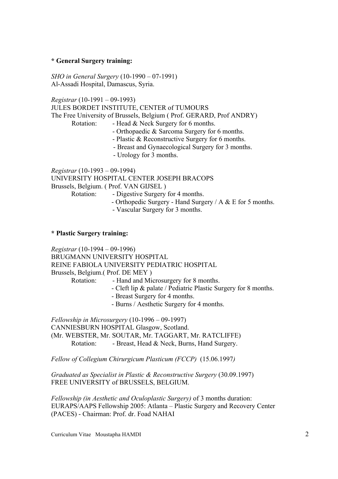#### **\* General Surgery training:**

*SHO in General Surgery* (10-1990 – 07-1991) Al-Assadi Hospital, Damascus, Syria.

*Registrar* (10-1991 – 09-1993)

JULES BORDET INSTITUTE, CENTER of TUMOURS The Free University of Brussels, Belgium ( Prof. GERARD, Prof ANDRY)

- Rotation: Head & Neck Surgery for 6 months.
	- Orthopaedic & Sarcoma Surgery for 6 months.
	- Plastic & Reconstructive Surgery for 6 months.
	- Breast and Gynaecological Surgery for 3 months.
	- Urology for 3 months.

*Registrar* (10-1993 – 09-1994) UNIVERSITY HOSPITAL CENTER JOSEPH BRACOPS Brussels, Belgium. ( Prof. VAN GIJSEL ) Rotation: - Digestive Surgery for 4 months.

- Orthopedic Surgery - Hand Surgery / A & E for 5 months.

- Vascular Surgery for 3 months.

#### **\* Plastic Surgery training:**

*Registrar* (10-1994 – 09-1996) BRUGMANN UNIVERSITY HOSPITAL REINE FABIOLA UNIVERSITY PEDIATRIC HOSPITAL Brussels, Belgium.( Prof. DE MEY )

- Rotation: Hand and Microsurgery for 8 months.
	- Cleft lip & palate / Pediatric Plastic Surgery for 8 months.
	- Breast Surgery for 4 months.
	- Burns / Aesthetic Surgery for 4 months.

*Fellowship in Microsurgery* (10-1996 – 09-1997) CANNIESBURN HOSPITAL Glasgow, Scotland. (Mr. WEBSTER, Mr. SOUTAR, Mr. TAGGART, Mr. RATCLIFFE) Rotation: - Breast, Head & Neck, Burns, Hand Surgery.

*Fellow of Collegium Chirurgicum Plasticum (FCCP)* (15.06.1997*)*

*Graduated as Specialist in Plastic & Reconstructive Surgery* (30.09.1997) FREE UNIVERSITY of BRUSSELS, BELGIUM.

*Fellowship (in Aesthetic and Oculoplastic Surgery)* of 3 months duration: EURAPS/AAPS Fellowship 2005: Atlanta – Plastic Surgery and Recovery Center (PACES) - Chairman: Prof. dr. Foad NAHAI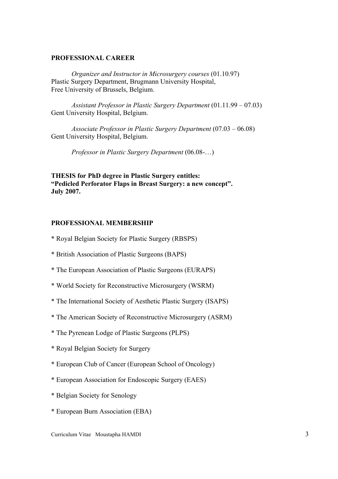#### **PROFESSIONAL CAREER**

*Organizer and Instructor in Microsurgery courses* (01.10.97) Plastic Surgery Department, Brugmann University Hospital, Free University of Brussels, Belgium.

*Assistant Professor in Plastic Surgery Department* (01.11.99 – 07.03) Gent University Hospital, Belgium.

*Associate Professor in Plastic Surgery Department* (07.03 – 06.08) Gent University Hospital, Belgium.

*Professor in Plastic Surgery Department* (06.08-…)

**THESIS for PhD degree in Plastic Surgery entitles: "Pedicled Perforator Flaps in Breast Surgery: a new concept". July 2007.**

#### **PROFESSIONAL MEMBERSHIP**

- \* Royal Belgian Society for Plastic Surgery (RBSPS)
- \* British Association of Plastic Surgeons (BAPS)
- \* The European Association of Plastic Surgeons (EURAPS)
- \* World Society for Reconstructive Microsurgery (WSRM)
- \* The International Society of Aesthetic Plastic Surgery (ISAPS)
- \* The American Society of Reconstructive Microsurgery (ASRM)
- \* The Pyrenean Lodge of Plastic Surgeons (PLPS)
- \* Royal Belgian Society for Surgery
- \* European Club of Cancer (European School of Oncology)
- \* European Association for Endoscopic Surgery (EAES)
- \* Belgian Society for Senology
- \* European Burn Association (EBA)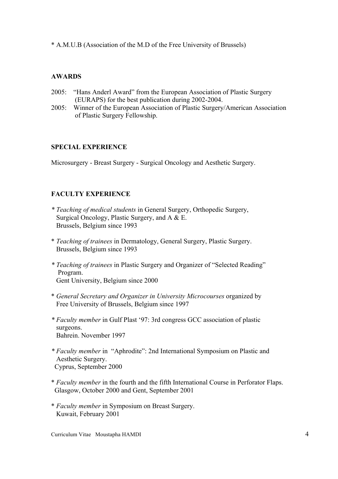\* A.M.U.B (Association of the M.D of the Free University of Brussels)

# **AWARDS**

- 2005: "Hans Anderl Award" from the European Association of Plastic Surgery (EURAPS) for the best publication during 2002-2004.
- 2005: Winner of the European Association of Plastic Surgery/American Association of Plastic Surgery Fellowship.

## **SPECIAL EXPERIENCE**

Microsurgery - Breast Surgery - Surgical Oncology and Aesthetic Surgery.

# **FACULTY EXPERIENCE**

- *\* Teaching of medical students* in General Surgery, Orthopedic Surgery, Surgical Oncology, Plastic Surgery, and A & E. Brussels, Belgium since 1993
- \* *Teaching of trainees* in Dermatology, General Surgery, Plastic Surgery. Brussels, Belgium since 1993
- *\* Teaching of trainees* in Plastic Surgery and Organizer of "Selected Reading" Program. Gent University, Belgium since 2000
- \* *General Secretary and Organizer in University Microcourses* organized by Free University of Brussels, Belgium since 1997
- *\* Faculty member* in Gulf Plast '97: 3rd congress GCC association of plastic surgeons. Bahrein. November 1997
- *\* Faculty member* in "Aphrodite": 2nd International Symposium on Plastic and Aesthetic Surgery. Cyprus, September 2000
- \* *Faculty member* in the fourth and the fifth International Course in Perforator Flaps. Glasgow, October 2000 and Gent, September 2001
- \* *Faculty member* in Symposium on Breast Surgery. Kuwait, February 2001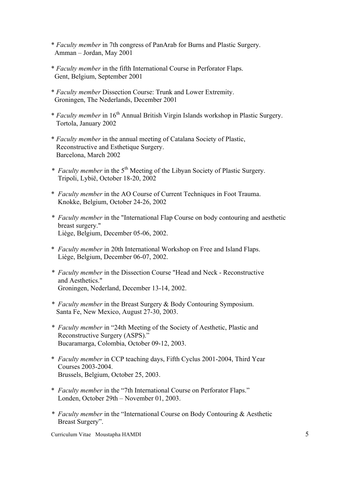- \* *Faculty member* in 7th congress of PanArab for Burns and Plastic Surgery. Amman – Jordan, May 2001
- \* *Faculty member* in the fifth International Course in Perforator Flaps. Gent, Belgium, September 2001
- \* *Faculty member* Dissection Course: Trunk and Lower Extremity. Groningen, The Nederlands, December 2001
- \* *Faculty member* in 16th Annual British Virgin Islands workshop in Plastic Surgery. Tortola, January 2002
- \* *Faculty member* in the annual meeting of Catalana Society of Plastic, Reconstructive and Esthetique Surgery. Barcelona, March 2002
- *\* Faculty member* in the 5th Meeting of the Libyan Society of Plastic Surgery. Tripoli, Lybië, October 18-20, 2002
- \* *Faculty member* in the AO Course of Current Techniques in Foot Trauma. Knokke, Belgium, October 24-26, 2002
- *\* Faculty member* in the "International Flap Course on body contouring and aesthetic breast surgery." Liège, Belgium, December 05-06, 2002.
- \* *Faculty member* in 20th International Workshop on Free and Island Flaps. Liège, Belgium, December 06-07, 2002.
- *\* Faculty member* in the Dissection Course "Head and Neck Reconstructive and Aesthetics." Groningen, Nederland, December 13-14, 2002.
- *\* Faculty member* in the Breast Surgery & Body Contouring Symposium. Santa Fe, New Mexico, August 27-30, 2003.
- *\* Faculty member* in "24th Meeting of the Society of Aesthetic, Plastic and Reconstructive Surgery (ASPS)." Bucaramarga, Colombia, October 09-12, 2003.
- \* *Faculty member* in CCP teaching days, Fifth Cyclus 2001-2004, Third Year Courses 2003-2004. Brussels, Belgium, October 25, 2003.
- \* *Faculty member* in the "7th International Course on Perforator Flaps." Londen, October 29th – November 01, 2003.
- *\* Faculty member* in the "International Course on Body Contouring & Aesthetic Breast Surgery".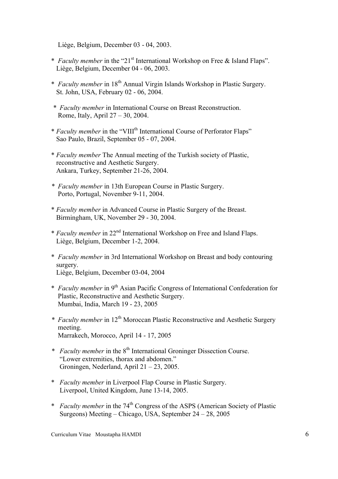Liège, Belgium, December 03 - 04, 2003.

- \* *Faculty member* in the "21st International Workshop on Free & Island Flaps". Liège, Belgium, December 04 - 06, 2003.
- \* *Faculty member* in 18th Annual Virgin Islands Workshop in Plastic Surgery. St. John, USA, February 02 - 06, 2004.
- *\* Faculty member* in International Course on Breast Reconstruction. Rome, Italy, April 27 – 30, 2004.
- \* *Faculty member* in the "VIIIth International Course of Perforator Flaps" Sao Paulo, Brazil, September 05 - 07, 2004.
- \* *Faculty member* The Annual meeting of the Turkish society of Plastic, reconstructive and Aesthetic Surgery. Ankara, Turkey, September 21-26, 2004.
- *\* Faculty member* in 13th European Course in Plastic Surgery. Porto, Portugal, November 9-11, 2004.
- \* *Faculty member* in Advanced Course in Plastic Surgery of the Breast. Birmingham, UK, November 29 - 30, 2004.
- \* *Faculty member* in 22nd International Workshop on Free and Island Flaps. Liège, Belgium, December 1-2, 2004.
- \* *Faculty member* in 3rd International Workshop on Breast and body contouring surgery. Liège, Belgium, December 03-04, 2004
- \* *Faculty member* in 9th Asian Pacific Congress of International Confederation for Plastic, Reconstructive and Aesthetic Surgery. Mumbai, India, March 19 - 23, 2005
- *\* Faculty member* in 12th Moroccan Plastic Reconstructive and Aesthetic Surgery meeting. Marrakech, Morocco, April 14 - 17, 2005
- *\* Faculty member* in the 8th International Groninger Dissection Course. "Lower extremities, thorax and abdomen." Groningen, Nederland, April 21 – 23, 2005.
- \* *Faculty member* in Liverpool Flap Course in Plastic Surgery. Liverpool, United Kingdom, June 13-14, 2005.
- \* *Faculty member* in the 74th Congress of the ASPS (American Society of Plastic Surgeons) Meeting – Chicago, USA, September 24 – 28, 2005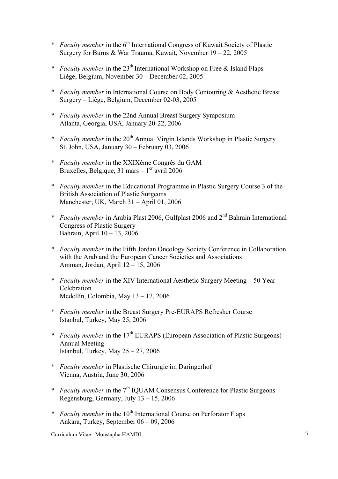- \* *Faculty member* in the 6<sup>th</sup> International Congress of Kuwait Society of Plastic Surgery for Burns & War Trauma, Kuwait, November 19 – 22, 2005
- \* *Faculty member* in the 23<sup>th</sup> International Workshop on Free & Island Flaps Liège, Belgium, November 30 – December 02, 2005
- \* *Faculty member* in International Course on Body Contouring & Aesthetic Breast Surgery – Liège, Belgium, December 02-03, 2005
- \* *Faculty member* in the 22nd Annual Breast Surgery Symposium Atlanta, Georgia, USA, January 20-22, 2006
- \* *Faculty member* in the 20<sup>th</sup> Annual Virgin Islands Workshop in Plastic Surgery St. John, USA, January 30 – February 03, 2006
- \* *Faculty member* in the XXIXème Congrès du GAM Bruxelles, Belgique, 31 mars  $-1<sup>er</sup>$  avril 2006
- \* *Faculty member* in the Educational Programme in Plastic Surgery Course 3 of the British Association of Plastic Surgeons Manchester, UK, March 31 – April 01, 2006
- \* *Faculty member* in Arabia Plast 2006, Gulfplast 2006 and 2nd Bahrain International Congress of Plastic Surgery Bahrain, April 10 – 13, 2006
- \* *Faculty member* in the Fifth Jordan Oncology Society Conference in Collaboration with the Arab and the European Cancer Societies and Associations Amman, Jordan, April 12 – 15, 2006
- \* *Faculty member* in the XIV International Aesthetic Surgery Meeting 50 Year Celebration Medellín, Colombia, May 13 – 17, 2006
- \* *Faculty member* in the Breast Surgery Pre-EURAPS Refresher Course Istanbul, Turkey, May 25, 2006
- \* *Faculty member* in the 17th EURAPS (European Association of Plastic Surgeons) Annual Meeting Istanbul, Turkey, May 25 – 27, 2006
- \* *Faculty member* in Plastische Chirurgie im Daringerhof Vienna, Austria, June 30, 2006
- \* *Faculty member* in the 7<sup>th</sup> IQUAM Consensus Conference for Plastic Surgeons Regensburg, Germany, July 13 – 15, 2006
- \* *Faculty member* in the 10th International Course on Perforator Flaps Ankara, Turkey, September 06 – 09, 2006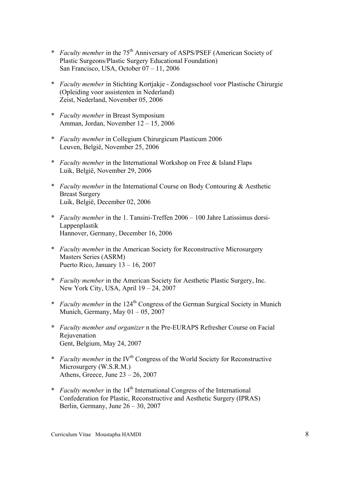- \* *Faculty member* in the 75th Anniversary of ASPS/PSEF (American Society of Plastic Surgeons/Plastic Surgery Educational Foundation) San Francisco, USA, October 07 – 11, 2006
- \* *Faculty member* in Stichting Kortjakje Zondagsschool voor Plastische Chirurgie (Opleiding voor assistenten in Nederland) Zeist, Nederland, November 05, 2006
- \* *Faculty member* in Breast Symposium Amman, Jordan, November 12 – 15, 2006
- \* *Faculty member* in Collegium Chirurgicum Plasticum 2006 Leuven, België, November 25, 2006
- \* *Faculty member* in the International Workshop on Free & Island Flaps Luik, België, November 29, 2006
- \* *Faculty member* in the International Course on Body Contouring & Aesthetic Breast Surgery Luik, België, December 02, 2006
- \* *Faculty member* in the 1. Tansini-Treffen 2006 100 Jahre Latissimus dorsi- Lappenplastik Hannover, Germany, December 16, 2006
- \* *Faculty member* in the American Society for Reconstructive Microsurgery Masters Series (ASRM) Puerto Rico, January 13 – 16, 2007
- \* *Faculty member* in the American Society for Aesthetic Plastic Surgery, Inc. New York City, USA, April 19 – 24, 2007
- \* *Faculty member* in the 124th Congress of the German Surgical Society in Munich Munich, Germany, May  $01 - 05$ , 2007
- **\*** *Faculty member and organizer* n the Pre-EURAPS Refresher Course on Facial Rejuvenation Gent, Belgium, May 24, 2007
- \* *Faculty member* in the IV<sup>th</sup> Congress of the World Society for Reconstructive Microsurgery (W.S.R.M.) Athens, Greece, June  $23 - 26$ , 2007
- \* *Faculty member* in the 14th International Congress of the International Confederation for Plastic, Reconstructive and Aesthetic Surgery (IPRAS) Berlin, Germany, June 26 – 30, 2007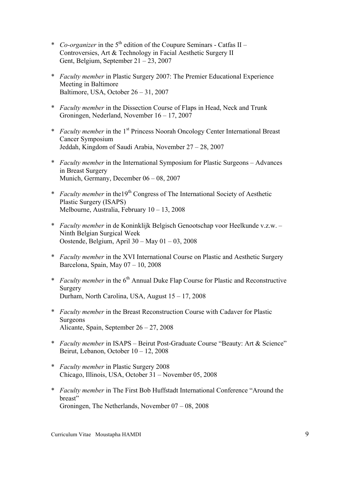- \* *Co-organizer* in the  $5<sup>th</sup>$  edition of the Coupure Seminars Catfas II Controversies, Art & Technology in Facial Aesthetic Surgery II Gent, Belgium, September 21 – 23, 2007
- \* *Faculty member* in Plastic Surgery 2007: The Premier Educational Experience Meeting in Baltimore Baltimore, USA, October 26 – 31, 2007
- \* *Faculty member* in the Dissection Course of Flaps in Head, Neck and Trunk Groningen, Nederland, November 16 – 17, 2007
- \* *Faculty member* in the 1st Princess Noorah Oncology Center International Breast Cancer Symposium Jeddah, Kingdom of Saudi Arabia, November 27 – 28, 2007
- \* *Faculty member* in the International Symposium for Plastic Surgeons Advances in Breast Surgery Munich, Germany, December 06 – 08, 2007
- \* *Faculty member* in the19<sup>th</sup> Congress of The International Society of Aesthetic Plastic Surgery (ISAPS) Melbourne, Australia, February 10 – 13, 2008
- \* *Faculty member* in de Koninklijk Belgisch Genootschap voor Heelkunde v.z.w. Ninth Belgian Surgical Week Oostende, Belgium, April 30 – May 01 – 03, 2008
- \* *Faculty member* in the XVI International Course on Plastic and Aesthetic Surgery Barcelona, Spain, May 07 – 10, 2008
- \* *Faculty member* in the 6<sup>th</sup> Annual Duke Flap Course for Plastic and Reconstructive Surgery Durham, North Carolina, USA, August 15 – 17, 2008
- \* *Faculty member* in the Breast Reconstruction Course with Cadaver for Plastic Surgeons Alicante, Spain, September 26 – 27, 2008
- \* *Faculty member* in ISAPS Beirut Post-Graduate Course "Beauty: Art & Science" Beirut, Lebanon, October 10 – 12, 2008
- \* *Faculty member* in Plastic Surgery 2008 Chicago, Illinois, USA, October 31 – November 05, 2008
- \* *Faculty member* in The First Bob Huffstadt International Conference "Around the breast" Groningen, The Netherlands, November 07 – 08, 2008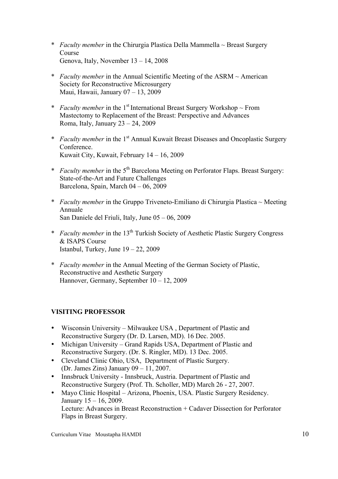- \* *Faculty member* in the Chirurgia Plastica Della Mammella ~ Breast Surgery Course Genova, Italy, November 13 – 14, 2008
- \* *Faculty member* in the Annual Scientific Meeting of the ASRM ~ American Society for Reconstructive Microsurgery Maui, Hawaii, January 07 – 13, 2009
- \* *Faculty member* in the 1<sup>st</sup> International Breast Surgery Workshop  $\sim$  From Mastectomy to Replacement of the Breast: Perspective and Advances Roma, Italy, January 23 – 24, 2009
- \* *Faculty member* in the 1st Annual Kuwait Breast Diseases and Oncoplastic Surgery Conference. Kuwait City, Kuwait, February 14 – 16, 2009
- \* *Faculty member* in the 5th Barcelona Meeting on Perforator Flaps. Breast Surgery: State-of-the-Art and Future Challenges Barcelona, Spain, March 04 – 06, 2009
- \* *Faculty member* in the Gruppo Triveneto-Emiliano di Chirurgia Plastica ~ Meeting Annuale San Daniele del Friuli, Italy, June 05 – 06, 2009
- \* *Faculty member* in the 13th Turkish Society of Aesthetic Plastic Surgery Congress & ISAPS Course Istanbul, Turkey, June  $19 - 22$ , 2009
- \* *Faculty member* in the Annual Meeting of the German Society of Plastic, Reconstructive and Aesthetic Surgery Hannover, Germany, September 10 – 12, 2009

# **VISITING PROFESSOR**

- Wisconsin University Milwaukee USA , Department of Plastic and Reconstructive Surgery (Dr. D. Larsen, MD). 16 Dec. 2005.
- Michigan University Grand Rapids USA, Department of Plastic and Reconstructive Surgery. (Dr. S. Ringler, MD). 13 Dec. 2005.
- Cleveland Clinic Ohio, USA, Department of Plastic Surgery. (Dr. James Zins) January 09 – 11, 2007.
- Innsbruck University Innsbruck, Austria. Department of Plastic and Reconstructive Surgery (Prof. Th. Scholler, MD) March 26 - 27, 2007.
- Mayo Clinic Hospital Arizona, Phoenix, USA. Plastic Surgery Residency. January 15 – 16, 2009. Lecture: Advances in Breast Reconstruction + Cadaver Dissection for Perforator Flaps in Breast Surgery.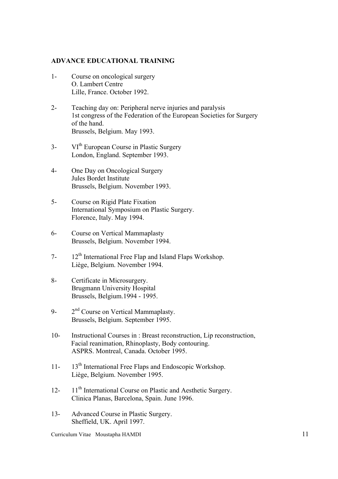#### **ADVANCE EDUCATIONAL TRAINING**

- 1- Course on oncological surgery O. Lambert Centre Lille, France. October 1992.
- 2- Teaching day on: Peripheral nerve injuries and paralysis 1st congress of the Federation of the European Societies for Surgery of the hand. Brussels, Belgium. May 1993.
- 3- VI<sup>th</sup> European Course in Plastic Surgery London, England. September 1993.
- 4- One Day on Oncological Surgery Jules Bordet Institute Brussels, Belgium. November 1993.
- 5- Course on Rigid Plate Fixation International Symposium on Plastic Surgery. Florence, Italy. May 1994.
- 6- Course on Vertical Mammaplasty Brussels, Belgium. November 1994.
- $7-12^{th}$  International Free Flap and Island Flaps Workshop. Liège, Belgium. November 1994.
- 8- Certificate in Microsurgery. Brugmann University Hospital Brussels, Belgium.1994 - 1995.
- 9-  $2<sup>nd</sup>$  Course on Vertical Mammaplasty. Brussels, Belgium. September 1995.
- 10- Instructional Courses in : Breast reconstruction, Lip reconstruction, Facial reanimation, Rhinoplasty, Body contouring. ASPRS. Montreal, Canada. October 1995.
- 11- 13<sup>th</sup> International Free Flaps and Endoscopic Workshop. Liège, Belgium. November 1995.
- 12- 11<sup>th</sup> International Course on Plastic and Aesthetic Surgery. Clinica Planas, Barcelona, Spain. June 1996.
- 13- Advanced Course in Plastic Surgery. Sheffield, UK. April 1997.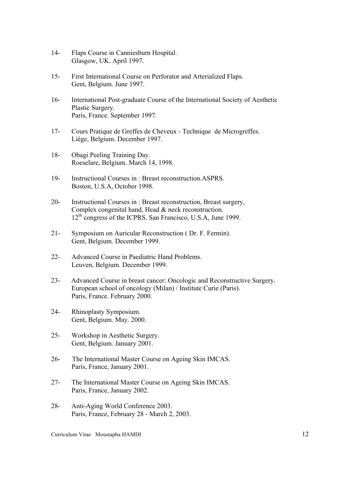- 14- Flaps Course in Canniesburn Hospital. Glasgow, UK. April 1997.
- 15- First International Course on Perforator and Arterialized Flaps. Gent, Belgium. June 1997.
- 16- International Post-graduate Course of the International Society of Aesthetic Plastic Surgery. Paris, France. September 1997.
- 17- Cours Pratique de Greffes de Cheveux Technique de Microgreffes. Liège, Belgium. December 1997.
- 18- Obagi Peeling Training Day. Roeselare, Belgium. March 14, 1998.
- 19- Instructional Courses in : Breast reconstruction.ASPRS. Boston, U.S.A, October 1998.
- 20- Instructional Courses in : Breast reconstruction, Breast surgery, Complex congenital hand, Head & neck reconstruction. 12<sup>th</sup> congress of the ICPRS. San Francisco, U.S.A, June 1999.
- 21- Symposium on Auricular Reconstruction ( Dr. F. Fermin). Gent, Belgium. December 1999.
- 22- Advanced Course in Paediatric Hand Problems. Leuven, Belgium. December 1999.
- 23- Advanced Course in breast cancer: Oncologic and Reconstructive Surgery. European school of oncology (Milan) / Institute Curie (Paris). Paris, France. February 2000.
- 24- Rhinoplasty Symposium. Gent, Belgium. May. 2000.
- 25- Workshop in Aesthetic Surgery. Gent, Belgium. January 2001.
- 26- The International Master Course on Ageing Skin IMCAS. Paris, France, January 2001.
- 27- The International Master Course on Ageing Skin IMCAS. Paris, France, January 2002.
- 28- Anti-Aging World Conference 2003. Paris, France, February 28 - March 2, 2003.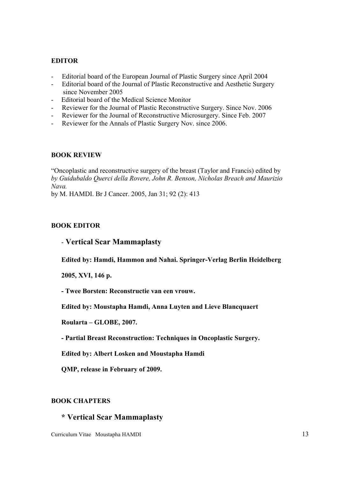## **EDITOR**

- Editorial board of the European Journal of Plastic Surgery since April 2004
- Editorial board of the Journal of Plastic Reconstructive and Aesthetic Surgery since November 2005
- Editorial board of the Medical Science Monitor
- Reviewer for the Journal of Plastic Reconstructive Surgery. Since Nov. 2006
- Reviewer for the Journal of Reconstructive Microsurgery. Since Feb. 2007
- Reviewer for the Annals of Plastic Surgery Nov. since 2006.

# **BOOK REVIEW**

"Oncoplastic and reconstructive surgery of the breast (Taylor and Francis) edited by *by Guidubaldo Querci della Rovere, John R. Benson, Nicholas Breach and Maurizio Nava.*

by M. HAMDI. Br J Cancer. 2005, Jan 31; 92 (2): 413

# **BOOK EDITOR**

# - **Vertical Scar Mammaplasty**

**Edited by: Hamdi, Hammon and Nahai. Springer-Verlag Berlin Heidelberg** 

**2005, XVI, 146 p.**

**- Twee Borsten: Reconstructie van een vrouw.**

**Edited by: Moustapha Hamdi, Anna Luyten and Lieve Blancquaert**

**Roularta – GLOBE, 2007.**

**- Partial Breast Reconstruction: Techniques in Oncoplastic Surgery.**

**Edited by: Albert Losken and Moustapha Hamdi**

**QMP, release in February of 2009.**

# **BOOK CHAPTERS**

# **\* Vertical Scar Mammaplasty**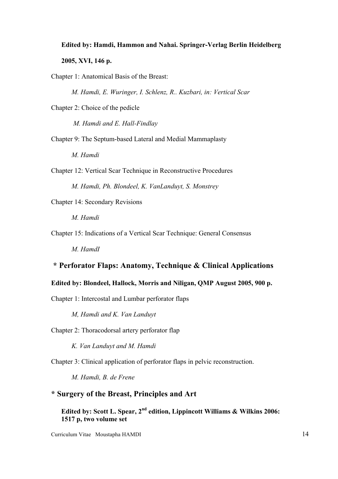# **Edited by: Hamdi, Hammon and Nahai. Springer-Verlag Berlin Heidelberg 2005, XVI, 146 p.**

Chapter 1: Anatomical Basis of the Breast:

*M. Hamdi, E. Wuringer, I. Schlenz, R.. Kuzbari, in: Vertical Scar* 

Chapter 2: Choice of the pedicle

*M. Hamdi and E. Hall-Findlay*

- Chapter 9: The Septum-based Lateral and Medial Mammaplasty *M. Hamdi*
- Chapter 12: Vertical Scar Technique in Reconstructive Procedures *M. Hamdi, Ph. Blondeel, K. VanLanduyt, S. Monstrey*

Chapter 14: Secondary Revisions

*M. Hamdi* 

Chapter 15: Indications of a Vertical Scar Technique: General Consensus

*M. HamdI*

# **\* Perforator Flaps: Anatomy, Technique & Clinical Applications**

## **Edited by: Blondeel, Hallock, Morris and Niligan, QMP August 2005, 900 p.**

Chapter 1: Intercostal and Lumbar perforator flaps

*M, Hamdi and K. Van Landuyt*

Chapter 2: Thoracodorsal artery perforator flap

*K. Van Landuyt and M. Hamdi*

Chapter 3: Clinical application of perforator flaps in pelvic reconstruction.

*M. Hamdi, B. de Frene*

# **\* Surgery of the Breast, Principles and Art**

Edited by: Scott L. Spear, 2<sup>nd</sup> edition, Lippincott Williams & Wilkins 2006: **1517 p, two volume set**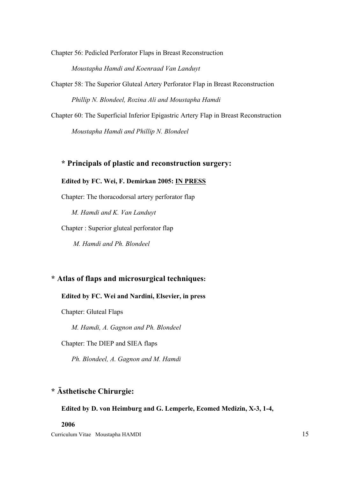Chapter 56: Pedicled Perforator Flaps in Breast Reconstruction

*Moustapha Hamdi and Koenraad Van Landuyt*

- Chapter 58: The Superior Gluteal Artery Perforator Flap in Breast Reconstruction *Phillip N. Blondeel, Rozina Ali and Moustapha Hamdi*
- Chapter 60: The Superficial Inferior Epigastric Artery Flap in Breast Reconstruction *Moustapha Hamdi and Phillip N. Blondeel*

# **\* Principals of plastic and reconstruction surgery:**

#### **Edited by FC. Wei, F. Demirkan 2005: IN PRESS**

Chapter: The thoracodorsal artery perforator flap

*M. Hamdi and K. Van Landuyt* 

Chapter : Superior gluteal perforator flap

*M. Hamdi and Ph. Blondeel*

# **\* Atlas of flaps and microsurgical techniques:**

## **Edited by FC. Wei and Nardini, Elsevier, in press**

Chapter: Gluteal Flaps

*M. Hamdi, A. Gagnon and Ph. Blondeel*

Chapter: The DIEP and SIEA flaps

*Ph. Blondeel, A. Gagnon and M. Hamdi*

# **\* Ästhetische Chirurgie:**

#### **Edited by D. von Heimburg and G. Lemperle, Ecomed Medizin, X-3, 1-4,**

## **2006**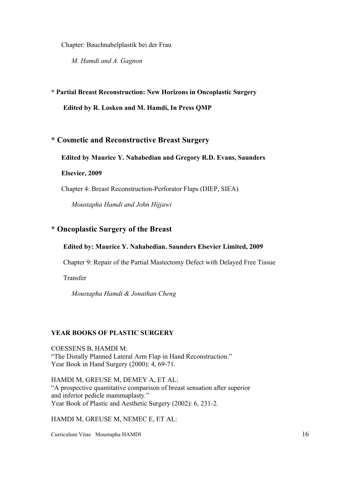Chapter: Bauchnabelplastik bei der Frau

*M. Hamdi and A. Gagnon*

#### **\* Partial Breast Reconstruction: New Horizons in Oncoplastic Surgery**

**Edited by R. Losken and M. Hamdi, In Press QMP**

## **\* Cosmetic and Reconstructive Breast Surgery**

#### **Edited by Maurice Y. Nahabedian and Gregory R.D. Evans, Saunders**

#### **Elsevier, 2009**

Chapter 4: Breast Reconstruction-Perforator Flaps (DIEP, SIEA)

*Moustapha Hamdi and John Hijjawi*

# **\* Oncoplastic Surgery of the Breast**

#### **Edited by: Maurice Y. Nahabedian. Saunders Elsevier Limited, 2009**

Chapter 9: Repair of the Partial Mastectomy Defect with Delayed Free Tissue

Transfer

*Moustapha Hamdi & Jonathan Cheng*

#### **YEAR BOOKS OF PLASTIC SURGERY**

COESSENS B, HAMDI M: "The Distally Planned Lateral Arm Flap in Hand Reconstruction." Year Book in Hand Surgery (2000): 4, 69-71.

HAMDI M, GREUSE M, DEMEY A, ET AL: "A prospective quantitative comparison of breast sensation after superior and inferior pedicle mammaplasty." Year Book of Plastic and Aesthetic Surgery (2002): 6, 231-2.

HAMDI M, GREUSE M, NEMEC E, ET AL: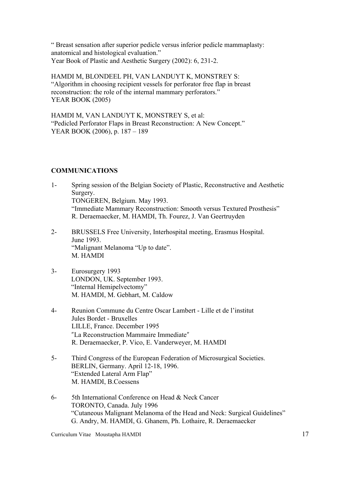" Breast sensation after superior pedicle versus inferior pedicle mammaplasty: anatomical and histological evaluation." Year Book of Plastic and Aesthetic Surgery (2002): 6, 231-2.

HAMDI M, BLONDEEL PH, VAN LANDUYT K, MONSTREY S: "Algorithm in choosing recipient vessels for perforator free flap in breast reconstruction: the role of the internal mammary perforators." YEAR BOOK (2005)

HAMDI M, VAN LANDUYT K, MONSTREY S, et al: "Pedicled Perforator Flaps in Breast Reconstruction: A New Concept." YEAR BOOK (2006), p. 187 – 189

# **COMMUNICATIONS**

- 1- Spring session of the Belgian Society of Plastic, Reconstructive and Aesthetic Surgery. TONGEREN, Belgium. May 1993. "Immediate Mammary Reconstruction: Smooth versus Textured Prosthesis" R. Deraemaecker, M. HAMDI, Th. Fourez, J. Van Geertruyden
- 2- BRUSSELS Free University, Interhospital meeting, Erasmus Hospital. June 1993. "Malignant Melanoma "Up to date". M. HAMDI
- 3- Eurosurgery 1993 LONDON, UK. September 1993. "Internal Hemipelvectomy" M. HAMDI, M. Gebhart, M. Caldow
- 4- Reunion Commune du Centre Oscar Lambert Lille et de l'institut Jules Bordet - Bruxelles LILLE, France. December 1995 "La Reconstruction Mammaire Immediate" R. Deraemaecker, P. Vico, E. Vanderweyer, M. HAMDI
- 5- Third Congress of the European Federation of Microsurgical Societies. BERLIN, Germany. April 12-18, 1996. "Extended Lateral Arm Flap" M. HAMDI, B.Coessens
- 6- 5th International Conference on Head & Neck Cancer TORONTO, Canada. July 1996 "Cutaneous Malignant Melanoma of the Head and Neck: Surgical Guidelines" G. Andry, M. HAMDI, G. Ghanem, Ph. Lothaire, R. Deraemaecker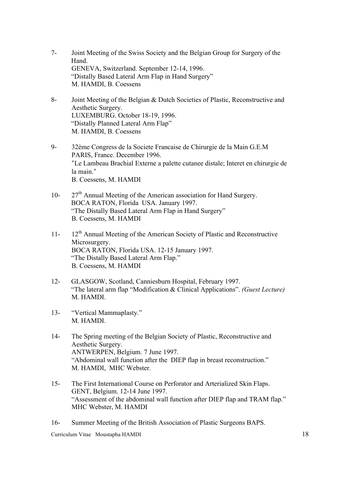- 7- Joint Meeting of the Swiss Society and the Belgian Group for Surgery of the Hand. GENEVA, Switzerland. September 12-14, 1996. "Distally Based Lateral Arm Flap in Hand Surgery" M. HAMDI, B. Coessens
- 8- Joint Meeting of the Belgian & Dutch Societies of Plastic, Reconstructive and Aesthetic Surgery. LUXEMBURG. October 18-19, 1996. "Distally Planned Lateral Arm Flap" M. HAMDI, B. Coessens
- 9- 32ème Congress de la Societe Francaise de Chirurgie de la Main G.E.M PARIS, France. December 1996. ʺLe Lambeau Brachial Externe a palette cutanee distale; Interet en chirurgie de la main." B. Coessens, M. HAMDI
- 10-  $27<sup>th</sup>$  Annual Meeting of the American association for Hand Surgery. BOCA RATON, Florida USA. January 1997. "The Distally Based Lateral Arm Flap in Hand Surgery" B. Coessens, M. HAMDI
- 11- 12<sup>th</sup> Annual Meeting of the American Society of Plastic and Reconstructive Microsurgery. BOCA RATON, Florida USA. 12-15 January 1997. "The Distally Based Lateral Arm Flap." B. Coessens, M. HAMDI
- 12- GLASGOW, Scotland, Canniesburn Hospital, February 1997. "The lateral arm flap "Modification & Clinical Applications". *(Guest Lecture)* M. HAMDI.
- 13- "Vertical Mammaplasty." M. HAMDI.
- 14- The Spring meeting of the Belgian Society of Plastic, Reconstructive and Aesthetic Surgery. ANTWERPEN, Belgium. 7 June 1997. "Abdominal wall function after the DIEP flap in breast reconstruction." M. HAMDI, MHC Webster.
- 15- The First International Course on Perforator and Arterialized Skin Flaps. GENT, Belgium. 12-14 June 1997. "Assessment of the abdominal wall function after DIEP flap and TRAM flap." MHC Webster, M. HAMDI
- 16- Summer Meeting of the British Association of Plastic Surgeons BAPS.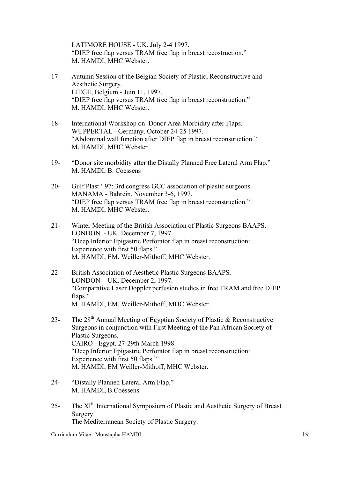LATIMORE HOUSE - UK. July 2-4 1997. "DIEP free flap versus TRAM free flap in breast recostruction." M. HAMDI, MHC Webster.

- 17- Autumn Session of the Belgian Society of Plastic, Reconstructive and Aesthetic Surgery. LIEGE, Belgium - Juin 11, 1997. "DIEP free flap versus TRAM free flap in breast reconstruction." M. HAMDI, MHC Webster.
- 18- International Workshop on Donor Area Morbidity after Flaps. WUPPERTAL - Germany. October 24-25 1997. "Abdominal wall function after DIEP flap in breast reconstruction." M. HAMDI, MHC Webster
- 19- "Donor site morbidity after the Distally Planned Free Lateral Arm Flap." M. HAMDI, B. Coessens
- 20- Gulf Plast ' 97: 3rd congress GCC association of plastic surgeons. MANAMA - Bahrein. November 3-6, 1997. "DIEP free flap versus TRAM free flap in breast reconstruction." M. HAMDI, MHC Webster.
- 21- Winter Meeting of the British Association of Plastic Surgeons BAAPS. LONDON - UK. December 7, 1997. "Deep Inferior Epigastric Perforator flap in breast reconstruction: Experience with first 50 flaps." M. HAMDI, EM. Weiller-Mithoff, MHC Webster.
- 22- British Association of Aesthetic Plastic Surgeons BAAPS. LONDON - UK. December 2, 1997. "Comparative Laser Doppler perfusion studies in free TRAM and free DIEP flaps." M. HAMDI, EM. Weiller-Mithoff, MHC Webster.
- 23- The 28<sup>th</sup> Annual Meeting of Egyptian Society of Plastic & Reconstructive Surgeons in conjunction with First Meeting of the Pan African Society of Plastic Surgeons. CAIRO - Egypt. 27-29th March 1998. "Deep Inferior Epigastric Perforator flap in breast reconstruction: Experience with first 50 flaps." M. HAMDI, EM Weiller-Mithoff, MHC Webster.
- 24- "Distally Planned Lateral Arm Flap." M. HAMDI, B.Coessens.
- 25- The XI<sup>th</sup> International Symposium of Plastic and Aesthetic Surgery of Breast Surgery. The Mediterranean Society of Plastic Surgery.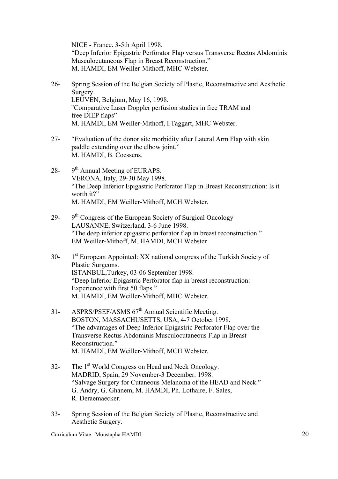NICE - France. 3-5th April 1998. "Deep Inferior Epigastric Perforator Flap versus Transverse Rectus Abdominis Musculocutaneous Flap in Breast Reconstruction." M. HAMDI, EM Weiller-Mithoff, MHC Webster.

- 26- Spring Session of the Belgian Society of Plastic, Reconstructive and Aesthetic Surgery. LEUVEN, Belgium, May 16, 1998. "Comparative Laser Doppler perfusion studies in free TRAM and free DIEP flaps" M. HAMDI, EM Weiller-Mithoff, I.Taggart, MHC Webster.
- 27- "Evaluation of the donor site morbidity after Lateral Arm Flap with skin paddle extending over the elbow joint." M. HAMDI, B. Coessens.
- 28-  $9<sup>th</sup>$  Annual Meeting of EURAPS. VERONA, Italy, 29-30 May 1998. "The Deep Inferior Epigastric Perforator Flap in Breast Reconstruction: Is it worth it?" M. HAMDI, EM Weiller-Mithoff, MCH Webster.
- 29- 9<sup>th</sup> Congress of the European Society of Surgical Oncology LAUSANNE, Switzerland, 3-6 June 1998. "The deep inferior epigastric perforator flap in breast reconstruction." EM Weiller-Mithoff, M. HAMDI, MCH Webster
- 30- 1<sup>st</sup> European Appointed: XX national congress of the Turkish Society of Plastic Surgeons. ISTANBUL,Turkey, 03-06 September 1998. "Deep Inferior Epigastric Perforator flap in breast reconstruction: Experience with first 50 flaps." M. HAMDI, EM Weiller-Mithoff, MHC Webster.
- 31- ASPRS/PSEF/ASMS 67<sup>th</sup> Annual Scientific Meeting. BOSTON, MASSACHUSETTS, USA, 4-7 October 1998. "The advantages of Deep Inferior Epigastric Perforator Flap over the Transverse Rectus Abdominis Musculocutaneous Flap in Breast Reconstruction." M. HAMDI, EM Weiller-Mithoff, MCH Webster.
- 32- The 1<sup>st</sup> World Congress on Head and Neck Oncology. MADRID, Spain, 29 November-3 December. 1998. "Salvage Surgery for Cutaneous Melanoma of the HEAD and Neck." G. Andry, G. Ghanem, M. HAMDI, Ph. Lothaire, F. Sales, R. Deraemaecker.
- 33- Spring Session of the Belgian Society of Plastic, Reconstructive and Aesthetic Surgery.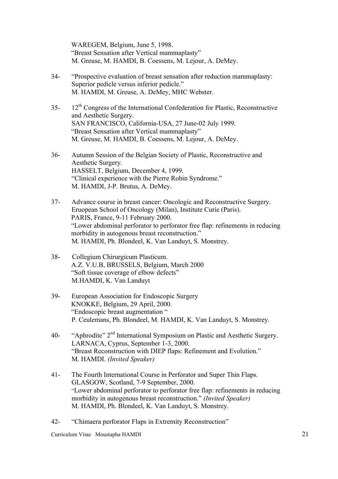WAREGEM, Belgium, June 5, 1998. "Breast Sensation after Vertical mammaplasty" M. Greuse, M. HAMDI, B. Coessens, M. Lejour, A. DeMey.

- 34- "Prospective evaluation of breast sensation after reduction mammaplasty: Superior pedicle versus inferior pedicle." M. HAMDI, M. Greuse, A. DeMey, MHC Webster.
- 35- 12<sup>th</sup> Congress of the International Confederation for Plastic, Reconstructive and Aesthetic Surgery. SAN FRANCISCO, California-USA, 27 June-02 July 1999. "Breast Sensation after Vertical mammaplasty" M. Greuse, M. HAMDI, B. Coessens, M. Lejour, A. DeMey.
- 36- Autumn Session of the Belgian Society of Plastic, Reconstructive and Aesthetic Surgery. HASSELT, Belgium, December 4, 1999. "Clinical experience with the Pierre Robin Syndrome." M. HAMDI, J-P. Brutus, A. DeMey.
- 37- Advance course in breast cancer: Oncologic and Reconstructive Surgery. Eruopean School of Oncology (Milan), Institute Curie (Paris). PARIS, France, 9-11 February 2000. "Lower abdominal perforator to perforator free flap: refinements in reducing morbidity in autogenous breast reconstruction." M. HAMDI, Ph. Blondeel, K. Van Landuyt, S. Monstrey.
- 38- Collegium Chirurgicum Plasticum. A.Z. V.U.B, BRUSSELS, Belgium, March 2000 "Soft tissue coverage of elbow defects" M.HAMDI, K. Van Landuyt
- 39- European Association for Endoscopic Surgery KNOKKE, Belgium, 29 April, 2000. "Endoscopic breast augmentation " P. Ceulemans, Ph. Blondeel, M. HAMDI, K. Van Landuyt, S. Monstrey.
- 40- "Aphrodite" 2nd International Symposium on Plastic and Aesthetic Surgery. LARNACA, Cyprus, September 1-3, 2000. "Breast Reconstruction with DIEP flaps: Refinement and Evolution." M. HAMDI. *(Invited Speaker)*
- 41- The Fourth International Course in Perforator and Super Thin Flaps. GLASGOW, Scotland, 7-9 September, 2000. "Lower abdominal perforator to perforator free flap: refinements in reducing morbidity in autogenous breast reconstruction." *(Invited Speaker)* M. HAMDI, Ph. Blondeel, K. Van Landuyt, S. Monstrey.

42- "Chimaera perforator Flaps in Extremity Reconstruction"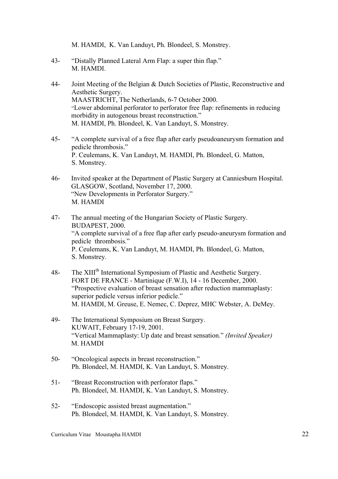M. HAMDI, K. Van Landuyt, Ph. Blondeel, S. Monstrey.

- 43- "Distally Planned Lateral Arm Flap: a super thin flap." M. HAMDI.
- 44- Joint Meeting of the Belgian & Dutch Societies of Plastic, Reconstructive and Aesthetic Surgery. MAASTRICHT, The Netherlands, 6-7 October 2000. "Lower abdominal perforator to perforator free flap: refinements in reducing morbidity in autogenous breast reconstruction." M. HAMDI, Ph. Blondeel, K. Van Landuyt, S. Monstrey.
- 45- "A complete survival of a free flap after early pseudoaneurysm formation and pedicle thrombosis." P. Ceulemans, K. Van Landuyt, M. HAMDI, Ph. Blondeel, G. Matton, S. Monstrey.
- 46- Invited speaker at the Department of Plastic Surgery at Canniesburn Hospital. GLASGOW, Scotland, November 17, 2000. "New Developments in Perforator Surgery." M. HAMDI
- 47- The annual meeting of the Hungarian Society of Plastic Surgery. BUDAPEST, 2000. "A complete survival of a free flap after early pseudo-aneurysm formation and pedicle thrombosis." P. Ceulemans, K. Van Landuyt, M. HAMDI, Ph. Blondeel, G. Matton, S. Monstrey.
- 48- The XIII<sup>th</sup> International Symposium of Plastic and Aesthetic Surgery. FORT DE FRANCE - Martinique (F.W.I), 14 - 16 December, 2000. "Prospective evaluation of breast sensation after reduction mammaplasty: superior pedicle versus inferior pedicle." M. HAMDI, M. Greuse, E. Nemec, C. Deprez, MHC Webster, A. DeMey.
- 49- The International Symposium on Breast Surgery. KUWAIT, February 17-19, 2001. "Vertical Mammaplasty: Up date and breast sensation." *(Invited Speaker)* M. HAMDI
- 50- "Oncological aspects in breast reconstruction." Ph. Blondeel, M. HAMDI, K. Van Landuyt, S. Monstrey.
- 51- "Breast Reconstruction with perforator flaps." Ph. Blondeel, M. HAMDI, K. Van Landuyt, S. Monstrey.
- 52- "Endoscopic assisted breast augmentation." Ph. Blondeel, M. HAMDI, K. Van Landuyt, S. Monstrey.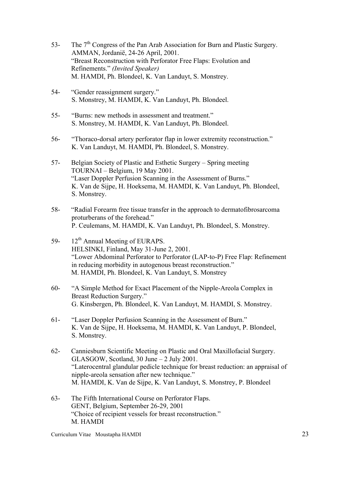- 53- The  $7<sup>th</sup>$  Congress of the Pan Arab Association for Burn and Plastic Surgery. AMMAN, Jordanië, 24-26 April, 2001. "Breast Reconstruction with Perforator Free Flaps: Evolution and Refinements." *(Invited Speaker)* M. HAMDI, Ph. Blondeel, K. Van Landuyt, S. Monstrey.
- 54- "Gender reassignment surgery." S. Monstrey, M. HAMDI, K. Van Landuyt, Ph. Blondeel.
- 55- "Burns: new methods in assessment and treatment." S. Monstrey, M. HAMDI, K. Van Landuyt, Ph. Blondeel.
- 56- "Thoraco-dorsal artery perforator flap in lower extremity reconstruction." K. Van Landuyt, M. HAMDI, Ph. Blondeel, S. Monstrey.
- 57- Belgian Society of Plastic and Esthetic Surgery Spring meeting TOURNAI – Belgium, 19 May 2001. "Laser Doppler Perfusion Scanning in the Assessment of Burns." K. Van de Sijpe, H. Hoeksema, M. HAMDI, K. Van Landuyt, Ph. Blondeel, S. Monstrey.
- 58- "Radial Forearm free tissue transfer in the approach to dermatofibrosarcoma proturberans of the forehead." P. Ceulemans, M. HAMDI, K. Van Landuyt, Ph. Blondeel, S. Monstrey.
- 59- 12<sup>th</sup> Annual Meeting of EURAPS. HELSINKI, Finland, May 31-June 2, 2001. "Lower Abdominal Perforator to Perforator (LAP-to-P) Free Flap: Refinement in reducing morbidity in autogenous breast reconstruction." M. HAMDI, Ph. Blondeel, K. Van Landuyt, S. Monstrey
- 60- "A Simple Method for Exact Placement of the Nipple-Areola Complex in Breast Reduction Surgery." G. Kinsbergen, Ph. Blondeel, K. Van Landuyt, M. HAMDI, S. Monstrey.
- 61- "Laser Doppler Perfusion Scanning in the Assessment of Burn." K. Van de Sijpe, H. Hoeksema, M. HAMDI, K. Van Landuyt, P. Blondeel, S. Monstrey.
- 62- Canniesburn Scientific Meeting on Plastic and Oral Maxillofacial Surgery. GLASGOW, Scotland, 30 June – 2 July 2001. "Laterocentral glandular pedicle technique for breast reduction: an appraisal of nipple-areola sensation after new technique." M. HAMDI, K. Van de Sijpe, K. Van Landuyt, S. Monstrey, P. Blondeel
- 63- The Fifth International Course on Perforator Flaps. GENT, Belgium, September 26-29, 2001 "Choice of recipient vessels for breast reconstruction." M. HAMDI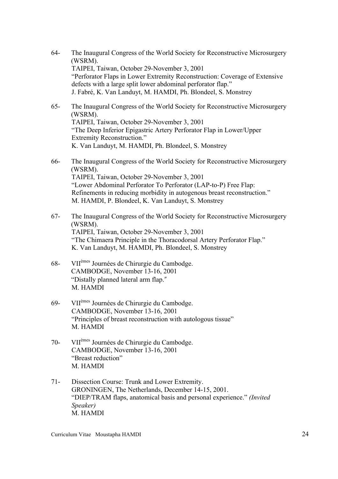- 64- The Inaugural Congress of the World Society for Reconstructive Microsurgery (WSRM). TAIPEI, Taiwan, October 29-November 3, 2001 "Perforator Flaps in Lower Extremity Reconstruction: Coverage of Extensive defects with a large split lower abdominal perforator flap." J. Fabré, K. Van Landuyt, M. HAMDI, Ph. Blondeel, S. Monstrey
- 65- The Inaugural Congress of the World Society for Reconstructive Microsurgery (WSRM). TAIPEI, Taiwan, October 29-November 3, 2001 "The Deep Inferior Epigastric Artery Perforator Flap in Lower/Upper Extremity Reconstruction." K. Van Landuyt, M. HAMDI, Ph. Blondeel, S. Monstrey
- 66- The Inaugural Congress of the World Society for Reconstructive Microsurgery (WSRM). TAIPEI, Taiwan, October 29-November 3, 2001 "Lower Abdominal Perforator To Perforator (LAP-to-P) Free Flap: Refinements in reducing morbidity in autogenous breast reconstruction." M. HAMDI, P. Blondeel, K. Van Landuyt, S. Monstrey
- 67- The Inaugural Congress of the World Society for Reconstructive Microsurgery (WSRM). TAIPEI, Taiwan, October 29-November 3, 2001 "The Chimaera Principle in the Thoracodorsal Artery Perforator Flap." K. Van Landuyt, M. HAMDI, Ph. Blondeel, S. Monstrey
- 68- VIIèmes Journées de Chirurgie du Cambodge. CAMBODGE, November 13-16, 2001 "Distally planned lateral arm flap." M. HAMDI
- 69- VIIèmes Journées de Chirurgie du Cambodge. CAMBODGE, November 13-16, 2001 "Principles of breast reconstruction with autologous tissue" M. HAMDI
- 70- VIIèmes Journées de Chirurgie du Cambodge. CAMBODGE, November 13-16, 2001 "Breast reduction" M. HAMDI
- 71- Dissection Course: Trunk and Lower Extremity. GRONINGEN, The Netherlands, December 14-15, 2001. "DIEP/TRAM flaps, anatomical basis and personal experience." *(Invited Speaker)* M. HAMDI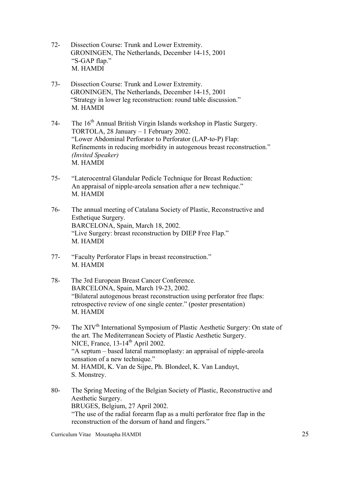- 72- Dissection Course: Trunk and Lower Extremity. GRONINGEN, The Netherlands, December 14-15, 2001 "S-GAP flap." M. HAMDI
- 73- Dissection Course: Trunk and Lower Extremity. GRONINGEN, The Netherlands, December 14-15, 2001 "Strategy in lower leg reconstruction: round table discussion." M. HAMDI
- 74- The 16<sup>th</sup> Annual British Virgin Islands workshop in Plastic Surgery. TORTOLA, 28 January – 1 February 2002. "Lower Abdominal Perforator to Perforator (LAP-to-P) Flap: Refinements in reducing morbidity in autogenous breast reconstruction." *(Invited Speaker)* M. HAMDI
- 75- "Laterocentral Glandular Pedicle Technique for Breast Reduction: An appraisal of nipple-areola sensation after a new technique." M. HAMDI
- 76- The annual meeting of Catalana Society of Plastic, Reconstructive and Esthetique Surgery. BARCELONA, Spain, March 18, 2002. "Live Surgery: breast reconstruction by DIEP Free Flap." M. HAMDI
- 77- "Faculty Perforator Flaps in breast reconstruction." M. HAMDI
- 78- The 3rd European Breast Cancer Conference. BARCELONA, Spain, March 19-23, 2002. "Bilateral autogenous breast reconstruction using perforator free flaps: retrospective review of one single center." (poster presentation) M. HAMDI
- 79- The XIV<sup>th</sup> International Symposium of Plastic Aesthetic Surgery: On state of the art. The Mediterranean Society of Plastic Aesthetic Surgery. NICE, France, 13-14<sup>th</sup> April 2002. "A septum – based lateral mammoplasty: an appraisal of nipple-areola sensation of a new technique." M. HAMDI, K. Van de Sijpe, Ph. Blondeel, K. Van Landuyt, S. Monstrey.
- 80- The Spring Meeting of the Belgian Society of Plastic, Reconstructive and Aesthetic Surgery. BRUGES, Belgium, 27 April 2002. "The use of the radial forearm flap as a multi perforator free flap in the reconstruction of the dorsum of hand and fingers."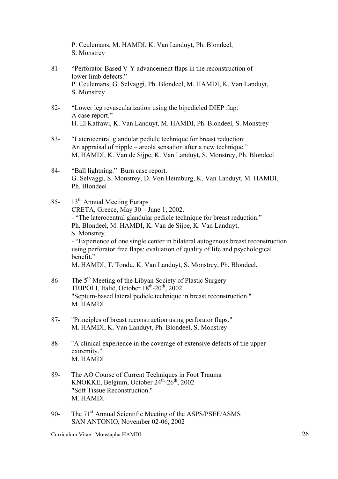P. Ceulemans, M. HAMDI, K. Van Landuyt, Ph. Blondeel, S. Monstrey

- 81- "Perforator-Based V-Y advancement flaps in the reconstruction of lower limb defects." P. Ceulemans, G. Selvaggi, Ph. Blondeel, M. HAMDI, K. Van Landuyt, S. Monstrey
- 82- "Lower leg revascularization using the bipedicled DIEP flap: A case report." H. El Kafrawi, K. Van Landuyt, M. HAMDI, Ph. Blondeel, S. Monstrey
- 83- "Laterocentral glandular pedicle technique for breast reduction: An appraisal of nipple – areola sensation after a new technique." M. HAMDI, K. Van de Sijpe, K. Van Landuyt, S. Monstrey, Ph. Blondeel
- 84- "Ball lightning." Burn case report. G. Selvaggi, S. Monstrey, D. Von Heimburg, K. Van Landuyt, M. HAMDI, Ph. Blondeel
- 85- 13<sup>th</sup> Annual Meeting Euraps CRETA, Greece, May 30 – June 1, 2002. - "The laterocentral glandular pedicle technique for breast reduction." Ph. Blondeel, M. HAMDI, K. Van de Sijpe, K. Van Landuyt, S. Monstrey. - "Experience of one single center in bilateral autogenous breast reconstruction using perforator free flaps: evaluation of quality of life and psychological benefit." M. HAMDI, T. Tondu, K. Van Landuyt, S. Monstrey, Ph. Blondeel.
- 86- The 5th Meeting of the Libyan Society of Plastic Surgery TRIPOLI, Italië, October  $18<sup>th</sup> - 20<sup>th</sup>$ , 2002 "Septum-based lateral pedicle technique in breast reconstruction." M. HAMDI
- 87- "Principles of breast reconstruction using perforator flaps." M. HAMDI, K. Van Landuyt, Ph. Blondeel, S. Monstrey
- 88- "A clinical experience in the coverage of extensive defects of the upper extremity." M. HAMDI
- 89- The AO Course of Current Techniques in Foot Trauma KNOKKE, Belgium, October  $24^{\text{th}} - 26^{\text{th}}$ , 2002 "Soft Tissue Reconstruction." M. HAMDI
- 90- The 71<sup>st</sup> Annual Scientific Meeting of the ASPS/PSEF/ASMS SAN ANTONIO, November 02-06, 2002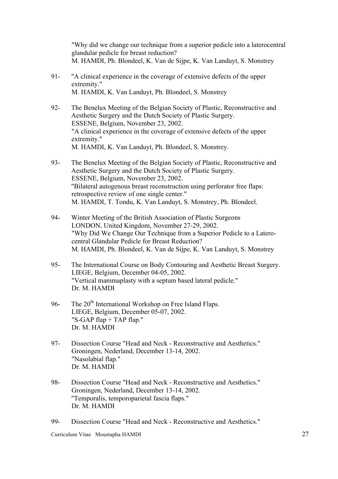"Why did we change our technique from a superior pedicle into a laterocentral glandular pedicle for breast reduction? M. HAMDI, Ph. Blondeel, K. Van de Sijpe, K. Van Landuyt, S. Monstrey

- 91- "A clinical experience in the coverage of extensive defects of the upper extremity." M. HAMDI, K. Van Landuyt, Ph. Blondeel, S. Monstrey
- 92- The Benelux Meeting of the Belgian Society of Plastic, Reconstructive and Aesthetic Surgery and the Dutch Society of Plastic Surgery. ESSENE, Belgium, November 23, 2002. "A clinical experience in the coverage of extensive defects of the upper extremity." M. HAMDI, K. Van Landuyt, Ph. Blondeel, S. Monstrey.
- 93- The Benelux Meeting of the Belgian Society of Plastic, Reconstructive and Aesthetic Surgery and the Dutch Society of Plastic Surgery. ESSENE, Belgium, November 23, 2002. "Bilateral autogenous breast reconstruction using perforator free flaps: retrospective review of one single center." M. HAMDI, T. Tondu, K. Van Landuyt, S. Monstrey, Ph. Blondeel.
- 94- Winter Meeting of the British Association of Plastic Surgeons LONDON, United Kingdom, November 27-29, 2002. "Why Did We Change Our Technique from a Superior Pedicle to a Laterocentral Glandular Pedicle for Breast Reduction? M. HAMDI, Ph. Blondeel, K. Van de Sijpe, K. Van Landuyt, S. Monstrey
- 95- The International Course on Body Contouring and Aesthetic Breast Surgery. LIEGE, Belgium, December 04-05, 2002. "Vertical mammaplasty with a septum based lateral pedicle." Dr. M. HAMDI
- 96- The 20<sup>th</sup> International Workshop on Free Island Flaps. LIEGE, Belgium, December 05-07, 2002. "S-GAP flap + TAP flap." Dr. M. HAMDI
- 97- Dissection Course "Head and Neck Reconstructive and Aesthetics." Groningen, Nederland, December 13-14, 2002. "Nasolabial flap." Dr. M. HAMDI
- 98- Dissection Course "Head and Neck Reconstructive and Aesthetics." Groningen, Nederland, December 13-14, 2002. "Temporalis, temporoparietal fascia flaps." Dr. M. HAMDI

99- Dissection Course "Head and Neck - Reconstructive and Aesthetics."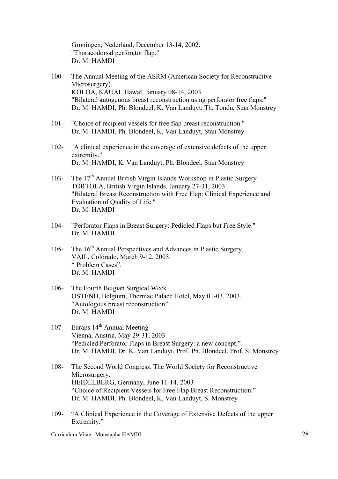Groningen, Nederland, December 13-14, 2002. "Thoracodorsal perforator flap." Dr. M. HAMDI

- 100- The Annual Meeting of the ASRM (American Society for Reconstructive Microsurgery). KOLOA, KAUAI, Hawaï, January 08-14, 2003. "Bilateral autogenous breast reconstruction using perforator free flaps." Dr. M. HAMDI, Ph. Blondeel, K. Van Landuyt, Th. Tondu, Stan Monstrey
- 101- "Choice of recipient vessels for free flap breast reconstruction." Dr. M. HAMDI, Ph. Blondeel, K. Van Landuyt, Stan Monstrey
- 102- "A clinical experience in the coverage of extensive defects of the upper extremity." Dr. M. HAMDI, K. Van Landuyt, Ph. Blondeel, Stan Monstrey
- 103- The  $17<sup>th</sup>$  Annual British Virgin Islands Workshop in Plastic Surgery TORTOLA, British Virgin Islands, January 27-31, 2003 "Bilateral Breast Reconstruction with Free Flap: Clinical Experience and Evaluation of Quality of Life." Dr. M. HAMDI
- 104- "Perforator Flaps in Breast Surgery: Pedicled Flaps but Free Style." Dr. M. HAMDI
- 105- The 16<sup>th</sup> Annual Perspectives and Advances in Plastic Surgery. VAIL, Colorado, March 9-12, 2003. " Problem Cases". Dr. M. HAMDI
- 106- The Fourth Belgian Surgical Week OSTEND, Belgium, Thermae Palace Hotel, May 01-03, 2003. "Autologous breast reconstruction". Dr. M. HAMDI
- 107- Euraps  $14<sup>th</sup>$  Annual Meeting Vienna, Austria, May 29-31, 2003 "Pedicled Perforator Flaps in Breast Surgery: a new concept." Dr. M. HAMDI, Dr. K. Van Landuyt, Prof. Ph. Blondeel, Prof. S. Monstrey
- 108- The Second World Congress. The World Society for Reconstructive Microsurgery. HEIDELBERG, Germany, June 11-14, 2003 "Choice of Recipient Vessels for Free Flap Breast Reconstruction." Dr. M. HAMDI, Ph. Blondeel, K. Van Landuyt, S. Monstrey
- 109- "A Clinical Experience in the Coverage of Extensive Defects of the upper Extremity."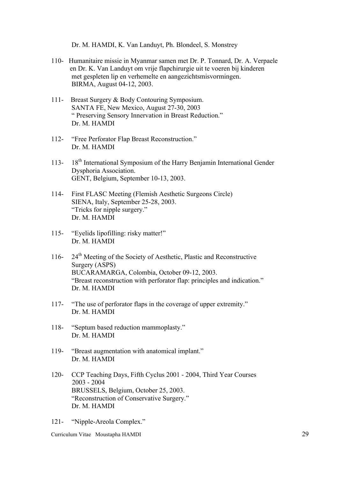Dr. M. HAMDI, K. Van Landuyt, Ph. Blondeel, S. Monstrey

- 110- Humanitaire missie in Myanmar samen met Dr. P. Tonnard, Dr. A. Verpaele en Dr. K. Van Landuyt om vrije flapchirurgie uit te voeren bij kinderen met gespleten lip en verhemelte en aangezichtsmisvormingen. BIRMA, August 04-12, 2003.
- 111- Breast Surgery & Body Contouring Symposium. SANTA FE, New Mexico, August 27-30, 2003 " Preserving Sensory Innervation in Breast Reduction." Dr. M. HAMDI
- 112- "Free Perforator Flap Breast Reconstruction." Dr. M. HAMDI
- 113- 18<sup>th</sup> International Symposium of the Harry Benjamin International Gender Dysphoria Association. GENT, Belgium, September 10-13, 2003.
- 114- First FLASC Meeting (Flemish Aesthetic Surgeons Circle) SIENA, Italy, September 25-28, 2003. "Tricks for nipple surgery." Dr. M. HAMDI
- 115- "Eyelids lipofilling: risky matter!" Dr. M. HAMDI
- 116- 24<sup>th</sup> Meeting of the Society of Aesthetic, Plastic and Reconstructive Surgery (ASPS) BUCARAMARGA, Colombia, October 09-12, 2003. "Breast reconstruction with perforator flap: principles and indication." Dr. M. HAMDI
- 117- "The use of perforator flaps in the coverage of upper extremity." Dr. M. HAMDI
- 118- "Septum based reduction mammoplasty." Dr. M. HAMDI
- 119- "Breast augmentation with anatomical implant." Dr. M. HAMDI
- 120- CCP Teaching Days, Fifth Cyclus 2001 2004, Third Year Courses 2003 - 2004 BRUSSELS, Belgium, October 25, 2003. "Reconstruction of Conservative Surgery." Dr. M. HAMDI
- 121- "Nipple-Areola Complex."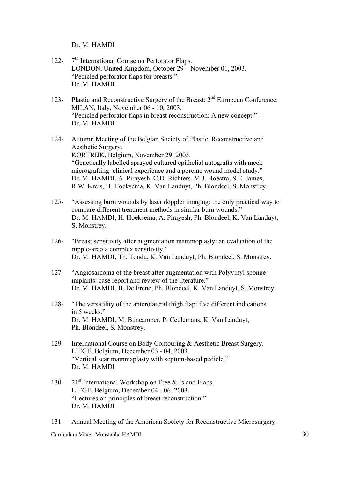Dr. M. HAMDI

- 122-  $7<sup>th</sup> International Course on Performance Flaps.$ LONDON, United Kingdom, October 29 – November 01, 2003. "Pedicled perforator flaps for breasts." Dr. M. HAMDI
- 123- Plastic and Reconstructive Surgery of the Breast:  $2<sup>nd</sup>$  European Conference. MILAN, Italy, November 06 - 10, 2003. "Pedicled perforator flaps in breast reconstruction: A new concept." Dr. M. HAMDI
- 124- Autumn Meeting of the Belgian Society of Plastic, Reconstructive and Aesthetic Surgery. KORTRIJK, Belgium, November 29, 2003. "Genetically labelled sprayed cultured epithelial autografts with meek micrografting: clinical experience and a porcine wound model study." Dr. M. HAMDI, A. Pirayesh, C.D. Richters, M.J. Hoestra, S.E. James, R.W. Kreis, H. Hoeksema, K. Van Landuyt, Ph. Blondeel, S. Monstrey.
- 125- "Assessing burn wounds by laser doppler imaging: the only practical way to compare different treatment methods in similar burn wounds." Dr. M. HAMDI, H. Hoeksema, A. Pirayesh, Ph. Blondeel, K. Van Landuyt, S. Monstrey.
- 126- "Breast sensitivity after augmentation mammoplasty: an evaluation of the nipple-areola complex sensitivity." Dr. M. HAMDI, Th. Tondu, K. Van Landuyt, Ph. Blondeel, S. Monstrey.
- 127- "Angiosarcoma of the breast after augmentation with Polyvinyl sponge implants: case report and review of the literature." Dr. M. HAMDI, B. De Frene, Ph. Blondeel, K. Van Landuyt, S. Monstrey.
- 128- "The versatility of the anterolateral thigh flap: five different indications in 5 weeks." Dr. M. HAMDI, M. Buncamper, P. Ceulemans, K. Van Landuyt, Ph. Blondeel, S. Monstrey.
- 129- International Course on Body Contouring & Aesthetic Breast Surgery. LIEGE, Belgium, December 03 - 04, 2003. "Vertical scar mammaplasty with septum-based pedicle." Dr. M. HAMDI
- 130- 21<sup>st</sup> International Workshop on Free & Island Flaps. LIEGE, Belgium, December 04 - 06, 2003. "Lectures on principles of breast reconstruction." Dr. M. HAMDI
- 131- Annual Meeting of the American Society for Reconstructive Microsurgery.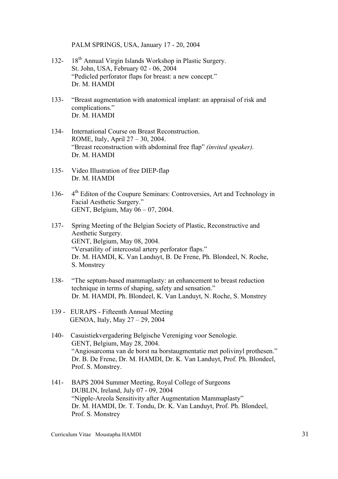PALM SPRINGS, USA, January 17 - 20, 2004

- 132- 18<sup>th</sup> Annual Virgin Islands Workshop in Plastic Surgery. St. John, USA, February 02 - 06, 2004 "Pedicled perforator flaps for breast: a new concept." Dr. M. HAMDI
- 133- "Breast augmentation with anatomical implant: an appraisal of risk and complications." Dr. M. HAMDI
- 134- International Course on Breast Reconstruction. ROME, Italy, April 27 – 30, 2004. "Breast reconstruction with abdominal free flap" *(invited speaker).* Dr. M. HAMDI
- 135- Video Illustration of free DIEP-flap Dr. M. HAMDI
- 136- 4<sup>th</sup> Editon of the Coupure Seminars: Controversies, Art and Technology in Facial Aesthetic Surgery." GENT, Belgium, May 06 – 07, 2004.
- 137- Spring Meeting of the Belgian Society of Plastic, Reconstructive and Aesthetic Surgery. GENT, Belgium, May 08, 2004. "Versatility of intercostal artery perforator flaps." Dr. M. HAMDI, K. Van Landuyt, B. De Frene, Ph. Blondeel, N. Roche, S. Monstrey
- 138- "The septum-based mammaplasty: an enhancement to breast reduction technique in terms of shaping, safety and sensation." Dr. M. HAMDI, Ph. Blondeel, K. Van Landuyt, N. Roche, S. Monstrey
- 139 EURAPS Fifteenth Annual Meeting GENOA, Italy, May 27 – 29, 2004
- 140- Casuistiekvergadering Belgische Vereniging voor Senologie. GENT, Belgium, May 28, 2004. "Angiosarcoma van de borst na borstaugmentatie met polivinyl prothesen." Dr. B. De Frene, Dr. M. HAMDI, Dr. K. Van Landuyt, Prof. Ph. Blondeel, Prof. S. Monstrey.
- 141- BAPS 2004 Summer Meeting, Royal College of Surgeons DUBLIN, Ireland, July 07 - 09, 2004 "Nipple-Areola Sensitivity after Augmentation Mammaplasty" Dr. M. HAMDI, Dr. T. Tondu, Dr. K. Van Landuyt, Prof. Ph. Blondeel, Prof. S. Monstrey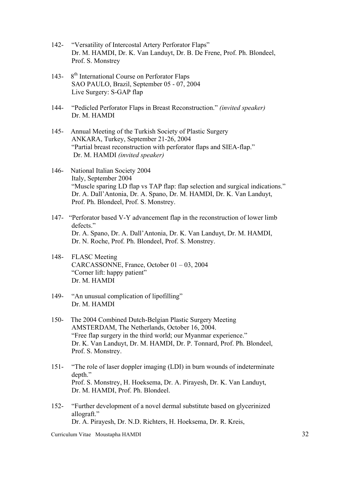- 142- "Versatility of Intercostal Artery Perforator Flaps" Dr. M. HAMDI, Dr. K. Van Landuyt, Dr. B. De Frene, Prof. Ph. Blondeel, Prof. S. Monstrey
- 143-  $8<sup>th</sup> International Course on Performance Flans$ SAO PAULO, Brazil, September 05 - 07, 2004 Live Surgery: S-GAP flap
- 144- "Pedicled Perforator Flaps in Breast Reconstruction." *(invited speaker)* Dr. M. HAMDI
- 145- Annual Meeting of the Turkish Society of Plastic Surgery ANKARA, Turkey, September 21-26, 2004 "Partial breast reconstruction with perforator flaps and SIEA-flap." Dr. M. HAMDI *(invited speaker)*
- 146- National Italian Society 2004 Italy, September 2004 "Muscle sparing LD flap vs TAP flap: flap selection and surgical indications." Dr. A. Dall'Antonia, Dr. A. Spano, Dr. M. HAMDI, Dr. K. Van Landuyt, Prof. Ph. Blondeel, Prof. S. Monstrey.
- 147- "Perforator based V-Y advancement flap in the reconstruction of lower limb defects." Dr. A. Spano, Dr. A. Dall'Antonia, Dr. K. Van Landuyt, Dr. M. HAMDI, Dr. N. Roche, Prof. Ph. Blondeel, Prof. S. Monstrey.
- 148- FLASC Meeting CARCASSONNE, France, October 01 – 03, 2004 "Corner lift: happy patient" Dr. M. HAMDI
- 149- "An unusual complication of lipofilling" Dr. M. HAMDI
- 150- The 2004 Combined Dutch-Belgian Plastic Surgery Meeting AMSTERDAM, The Netherlands, October 16, 2004. "Free flap surgery in the third world; our Myanmar experience." Dr. K. Van Landuyt, Dr. M. HAMDI, Dr. P. Tonnard, Prof. Ph. Blondeel, Prof. S. Monstrey.
- 151- "The role of laser doppler imaging (LDI) in burn wounds of indeterminate depth." Prof. S. Monstrey, H. Hoeksema, Dr. A. Pirayesh, Dr. K. Van Landuyt, Dr. M. HAMDI, Prof. Ph. Blondeel.
- 152- "Further development of a novel dermal substitute based on glycerinized allograft." Dr. A. Pirayesh, Dr. N.D. Richters, H. Hoeksema, Dr. R. Kreis,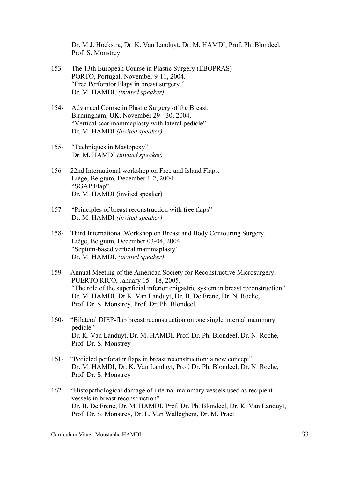Dr. M.J. Hoekstra, Dr. K. Van Landuyt, Dr. M. HAMDI, Prof. Ph. Blondeel, Prof. S. Monstrey.

- 153- The 13th European Course in Plastic Surgery (EBOPRAS) PORTO, Portugal, November 9-11, 2004. "Free Perforator Flaps in breast surgery." Dr. M. HAMDI. *(invited speaker)*
- 154- Advanced Course in Plastic Surgery of the Breast. Birmingham, UK, November 29 - 30, 2004. "Vertical scar mammaplasty with lateral pedicle" Dr. M. HAMDI *(invited speaker)*
- 155- "Techniques in Mastopexy" Dr. M. HAMDI *(invited speaker)*
- 156- 22nd International workshop on Free and Island Flaps. Liège, Belgium, December 1-2, 2004. "SGAP Flap" Dr. M. HAMDI (invited speaker)
- 157- "Principles of breast reconstruction with free flaps" Dr. M. HAMDI *(invited speaker)*
- 158-Third International Workshop on Breast and Body Contouring Surgery. Liège, Belgium, December 03-04, 2004 "Septum-based vertical mammaplasty" Dr. M. HAMDI. *(invited speaker)*
- 159- Annual Meeting of the American Society for Reconstructive Microsurgery. PUERTO RICO, January 15 - 18, 2005. "The role of the superficial inferior epigastric system in breast reconstruction" Dr. M. HAMDI, Dr.K. Van Landuyt, Dr. B. De Frene, Dr. N. Roche, Prof. Dr. S. Monstrey, Prof. Dr. Ph. Blondeel.
- 160- "Bilateral DIEP-flap breast reconstruction on one single internal mammary pedicle" Dr. K. Van Landuyt, Dr. M. HAMDI, Prof. Dr. Ph. Blondeel, Dr. N. Roche, Prof. Dr. S. Monstrey
- 161- "Pedicled perforator flaps in breast reconstruction: a new concept" Dr. M. HAMDI, Dr. K. Van Landuyt, Prof. Dr. Ph. Blondeel, Dr. N. Roche, Prof. Dr. S. Monstrey
- 162- "Histopathological damage of internal mammary vessels used as recipient vessels in breast reconstruction" Dr. B. De Frene, Dr. M. HAMDI, Prof. Dr. Ph. Blondeel, Dr. K. Van Landuyt, Prof. Dr. S. Monstrey, Dr. L. Van Walleghem, Dr. M. Praet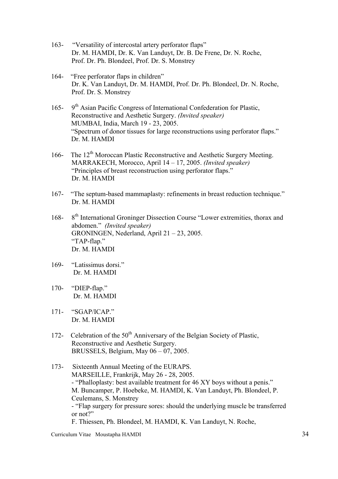- 163- "Versatility of intercostal artery perforator flaps" Dr. M. HAMDI, Dr. K. Van Landuyt, Dr. B. De Frene, Dr. N. Roche, Prof. Dr. Ph. Blondeel, Prof. Dr. S. Monstrey
- 164- "Free perforator flaps in children" Dr. K. Van Landuyt, Dr. M. HAMDI, Prof. Dr. Ph. Blondeel, Dr. N. Roche, Prof. Dr. S. Monstrey
- 165- 9<sup>th</sup> Asian Pacific Congress of International Confederation for Plastic, Reconstructive and Aesthetic Surgery. *(Invited speaker)* MUMBAI, India, March 19 - 23, 2005. "Spectrum of donor tissues for large reconstructions using perforator flaps." Dr. M. HAMDI
- 166- The 12<sup>th</sup> Moroccan Plastic Reconstructive and Aesthetic Surgery Meeting. MARRAKECH, Morocco, April 14 – 17, 2005. *(Invited speaker)* "Principles of breast reconstruction using perforator flaps." Dr. M. HAMDI
- 167- "The septum-based mammaplasty: refinements in breast reduction technique." Dr. M. HAMDI
- 168- 8<sup>th</sup> International Groninger Dissection Course "Lower extremities, thorax and abdomen." *(Invited speaker)* GRONINGEN, Nederland, April 21 – 23, 2005. "TAP-flap." Dr. M. HAMDI
- 169- "Latissimus dorsi." Dr. M. HAMDI
- 170- "DIEP-flap." Dr. M. HAMDI
- 171- "SGAP/ICAP." Dr. M. HAMDI
- 172- Celebration of the 50<sup>th</sup> Anniversary of the Belgian Society of Plastic, Reconstructive and Aesthetic Surgery. BRUSSELS, Belgium, May 06 – 07, 2005.
- 173- Sixteenth Annual Meeting of the EURAPS. MARSEILLE, Frankrijk, May 26 - 28, 2005. - "Phalloplasty: best available treatment for 46 XY boys without a penis." M. Buncamper, P. Hoebeke, M. HAMDI, K. Van Landuyt, Ph. Blondeel, P. Ceulemans, S. Monstrey - "Flap surgery for pressure sores: should the underlying muscle be transferred or not?" F. Thiessen, Ph. Blondeel, M. HAMDI, K. Van Landuyt, N. Roche,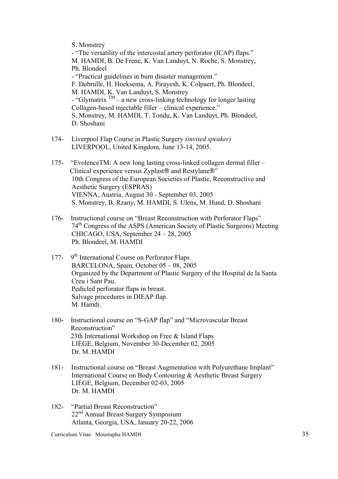S. Monstrey

- "The versatility of the intercostal artery perforator (ICAP) flaps." M. HAMDI, B. De Frene, K. Van Landuyt, N. Roche, S. Monstrey, Ph. Blondeel - "Practical guidelines in burn disaster management." F. Dubrulle, H. Hoeksema, A. Pirayesh, K. Colpaert, Ph. Blondeel, M. HAMDI, K. Van Landuyt, S. Monstrey - "Glymatrix  $TM - a$  new cross-linking technology for longer lasting Collagen-based injectable filler – clinical experience." S. Monstrey, M. HAMDI, T. Tondu, K. Van Landuyt, Ph. Blondeel, D. Shoshani

- 174- Liverpool Flap Course in Plastic Surgery *(invited speaker)* LIVERPOOL, United Kingdom, June 13-14, 2005.
- 175- "EvolenceTM: A new long lasting cross-linked collagen dermal filler Clinical experience versus Zyplast® and Restylane®" 10th Congress of the European Societies of Plastic, Reconstructive and Aesthetic Surgery (ESPRAS) VIENNA, Austria, August 30 - September 03, 2005 S. Monstrey, B. Rzany, M. HAMDI, S. Ulens, M. Hund, D. Shoshani
- 176- Instructional course on "Breast Reconstruction with Perforator Flaps" 74th Congress of the ASPS (American Society of Plastic Surgeons) Meeting CHICAGO, USA, September 24 – 28, 2005 Ph. Blondeel, M. HAMDI
- 177- 9<sup>th</sup> International Course on Perforator Flaps BARCELONA, Spain, October 05 – 08, 2005 Organized by the Department of Plastic Surgery of the Hospital de la Santa Creu i Sant Pau. Pedicled perforator flaps in breast. Salvage procedures in DIEAP flap. M. Hamdi.
- 180- Instructional course on "S-GAP flap" and "Microvascular Breast Reconstruction" 23th International Workshop on Free & Island Flaps LIÈGE, Belgium, November 30-December 02, 2005 Dr. M. HAMDI
- 181- Instructional course on "Breast Augmentation with Polyurethane Implant" International Course on Body Contouring & Aesthetic Breast Surgery LIÈGE, Belgium, December 02-03, 2005 Dr. M. HAMDI
- 182- "Partial Breast Reconstruction" 22<sup>nd</sup> Annual Breast Surgery Symposium Atlanta, Georgia, USA, January 20-22, 2006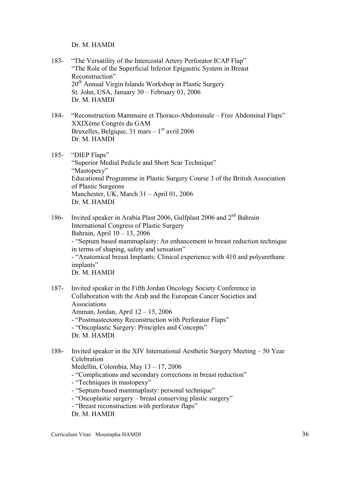Dr. M. HAMDI

- 183- "The Versatility of the Intercostal Artery Perforator ICAP Flap" "The Role of the Superficial Inferior Epigastric System in Breast Reconstruction" 20th Annual Virgin Islands Workshop in Plastic Surgery St. John, USA, January 30 – February 03, 2006 Dr. M. HAMDI
- 184- "Reconstruction Mammaire et Thoraco-Abdominale Free Abdominal Flaps" XXIXème Congrès du GAM Bruxelles, Belgique, 31 mars  $-1<sup>er</sup>$  avril 2006 Dr. M. HAMDI
- 185- "DIEP Flaps" "Superior Medial Pedicle and Short Scar Technique" "Mastopexy" Educational Programme in Plastic Surgery Course 3 of the British Association of Plastic Surgeons Manchester, UK, March 31 – April 01, 2006 Dr. M. HAMDI
- 186- Invited speaker in Arabia Plast 2006, Gulfplast 2006 and 2<sup>nd</sup> Bahrain International Congress of Plastic Surgery Bahrain, April 10 – 13, 2006 - "Septum based mammaplasty: An enhancement to breast reduction technique in terms of shaping, safety and sensation" - "Anatomical breast Implants: Clinical experience with 410 and polyurethane implants" Dr. M. HAMDI
- 187- Invited speaker in the Fifth Jordan Oncology Society Conference in Collaboration with the Arab and the European Cancer Societies and Associations Amman, Jordan, April 12 – 15, 2006 - "Postmastectomy Reconstruction with Perforator Flaps" - "Oncoplastic Surgery: Principles and Concepts" Dr. M. HAMDI
- 188- Invited speaker in the XIV International Aesthetic Surgery Meeting 50 Year Celebration Medellín, Colombia, May 13 – 17, 2006 - "Complications and secondary corrections in breast reduction" - "Techniques in mastopexy"
	- "Septum-based mammaplasty: personal technique"
	- "Oncoplastic surgery breast conserving plastic surgery"
	- "Breast reconstruction with perforator flaps"

Dr. M. HAMDI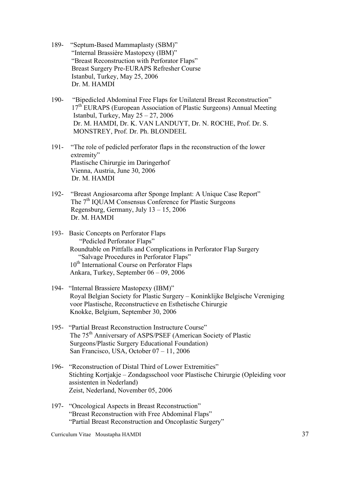- 189- "Septum-Based Mammaplasty (SBM)" "Internal Brassière Mastopexy (IBM)" "Breast Reconstruction with Perforator Flaps" Breast Surgery Pre-EURAPS Refresher Course Istanbul, Turkey, May 25, 2006 Dr. M. HAMDI
- 190- "Bipedicled Abdominal Free Flaps for Unilateral Breast Reconstruction" 17<sup>th</sup> EURAPS (European Association of Plastic Surgeons) Annual Meeting Istanbul, Turkey, May  $25 - 27$ , 2006 Dr. M. HAMDI, Dr. K. VAN LANDUYT, Dr. N. ROCHE, Prof. Dr. S. MONSTREY, Prof. Dr. Ph. BLONDEEL
- 191- "The role of pedicled perforator flaps in the reconstruction of the lower extremity" Plastische Chirurgie im Daringerhof Vienna, Austria, June 30, 2006 Dr. M. HAMDI
- 192- "Breast Angiosarcoma after Sponge Implant: A Unique Case Report" The 7<sup>th</sup> IQUAM Consensus Conference for Plastic Surgeons Regensburg, Germany, July 13 – 15, 2006 Dr. M. HAMDI
- 193- Basic Concepts on Perforator Flaps "Pedicled Perforator Flaps" Roundtable on Pittfalls and Complications in Perforator Flap Surgery "Salvage Procedures in Perforator Flaps" 10<sup>th</sup> International Course on Perforator Flaps Ankara, Turkey, September 06 – 09, 2006
- 194- "Internal Brassiere Mastopexy (IBM)" Royal Belgian Society for Plastic Surgery – Koninklijke Belgische Vereniging voor Plastische, Reconstructieve en Esthetische Chirurgie Knokke, Belgium, September 30, 2006
- 195- "Partial Breast Reconstruction Instructure Course" The 75<sup>th</sup> Anniversary of ASPS/PSEF (American Society of Plastic Surgeons/Plastic Surgery Educational Foundation) San Francisco, USA, October 07 – 11, 2006
- 196- "Reconstruction of Distal Third of Lower Extremities" Stichting Kortjakje – Zondagsschool voor Plastische Chirurgie (Opleiding voor assistenten in Nederland) Zeist, Nederland, November 05, 2006
- 197- "Oncological Aspects in Breast Reconstruction" "Breast Reconstruction with Free Abdominal Flaps" "Partial Breast Reconstruction and Oncoplastic Surgery"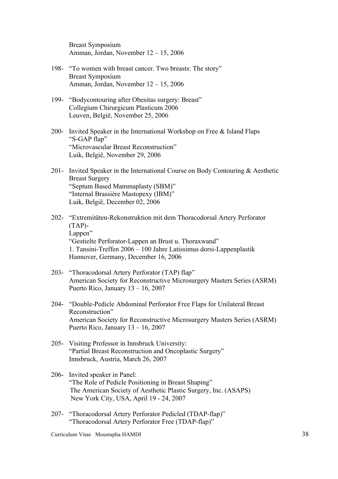Breast Symposium Amman, Jordan, November 12 – 15, 2006

- 198- "To women with breast cancer. Two breasts: The story" Breast Symposium Amman, Jordan, November 12 – 15, 2006
- 199- "Bodycontouring after Obesitas surgery: Breast" Collegium Chirurgicum Plasticum 2006 Leuven, België, November 25, 2006
- 200- Invited Speaker in the International Workshop on Free & Island Flaps "S-GAP flap" "Microvascular Breast Reconstruction" Luik, België, November 29, 2006
- 201- Invited Speaker in the International Course on Body Contouring & Aesthetic Breast Surgery "Septum Based Mammaplasty (SBM)" "Internal Brassière Mastopexy (IBM)" Luik, België, December 02, 2006
- 202- "Extremitäten-Rekonstruktion mit dem Thoracodorsal Artery Perforator (TAP)- Lappen" "Gestielte Perforator-Lappen an Brust u. Thoraxwand" 1. Tansini-Treffen 2006 – 100 Jahre Latissimus dorsi-Lappenplastik Hannover, Germany, December 16, 2006
- 203- "Thoracodorsal Artery Perforator (TAP) flap" American Society for Reconstructive Microsurgery Masters Series (ASRM) Puerto Rico, January 13 – 16, 2007
- 204- "Double-Pedicle Abdominal Perforator Free Flaps for Unilateral Breast Reconstruction" American Society for Reconstructive Microsurgery Masters Series (ASRM) Puerto Rico, January 13 – 16, 2007
- 205- Visiting Professor in Innsbruck University: "Partial Breast Reconstruction and Oncoplastic Surgery" Innsbruck, Austria, March 26, 2007
- 206- Invited speaker in Panel: "The Role of Pedicle Positioning in Breast Shaping" The American Society of Aesthetic Plastic Surgery, Inc. (ASAPS) New York City, USA, April 19 - 24, 2007
- 207- "Thoracodorsal Artery Perforator Pedicled (TDAP-flap)" "Thoracodorsal Artery Perforator Free (TDAP-flap)"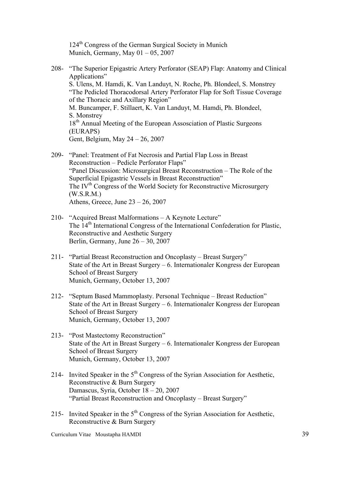124th Congress of the German Surgical Society in Munich Munich, Germany, May  $01 - 05$ , 2007

- 208- "The Superior Epigastric Artery Perforator (SEAP) Flap: Anatomy and Clinical Applications" S. Ulens, M. Hamdi, K. Van Landuyt, N. Roche, Ph. Blondeel, S. Monstrey "The Pedicled Thoracodorsal Artery Perforator Flap for Soft Tissue Coverage of the Thoracic and Axillary Region" M. Buncamper, F. Stillaert, K. Van Landuyt, M. Hamdi, Ph. Blondeel, S. Monstrey 18<sup>th</sup> Annual Meeting of the European Assosciation of Plastic Surgeons (EURAPS) Gent, Belgium, May 24 – 26, 2007
- 209- "Panel: Treatment of Fat Necrosis and Partial Flap Loss in Breast Reconstruction – Pedicle Perforator Flaps" "Panel Discussion: Microsurgical Breast Reconstruction – The Role of the Superficial Epigastric Vessels in Breast Reconstruction" The IV<sup>th</sup> Congress of the World Society for Reconstructive Microsurgery (W.S.R.M.) Athens, Greece, June  $23 - 26$ , 2007
- 210- "Acquired Breast Malformations A Keynote Lecture" The 14<sup>th</sup> International Congress of the International Confederation for Plastic, Reconstructive and Aesthetic Surgery Berlin, Germany, June 26 – 30, 2007
- 211- "Partial Breast Reconstruction and Oncoplasty Breast Surgery" State of the Art in Breast Surgery – 6. Internationaler Kongress der European School of Breast Surgery Munich, Germany, October 13, 2007
- 212- "Septum Based Mammoplasty. Personal Technique Breast Reduction" State of the Art in Breast Surgery – 6. Internationaler Kongress der European School of Breast Surgery Munich, Germany, October 13, 2007
- 213- "Post Mastectomy Reconstruction" State of the Art in Breast Surgery – 6. Internationaler Kongress der European School of Breast Surgery Munich, Germany, October 13, 2007
- 214- Invited Speaker in the  $5<sup>th</sup>$  Congress of the Syrian Association for Aesthetic, Reconstructive & Burn Surgery Damascus, Syria, October 18 – 20, 2007 "Partial Breast Reconstruction and Oncoplasty – Breast Surgery"
- 215- Invited Speaker in the  $5<sup>th</sup>$  Congress of the Syrian Association for Aesthetic, Reconstructive & Burn Surgery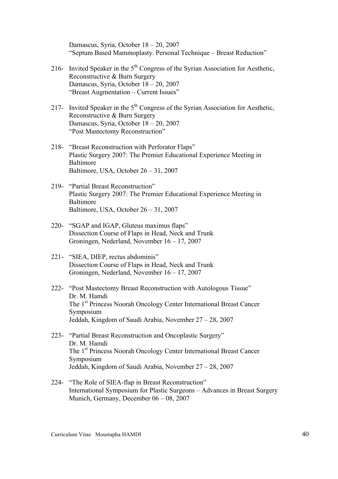Damascus, Syria, October 18 – 20, 2007 "Septum Based Mammoplasty. Personal Technique – Breast Reduction"

- 216- Invited Speaker in the  $5<sup>th</sup>$  Congress of the Syrian Association for Aesthetic, Reconstructive & Burn Surgery Damascus, Syria, October 18 – 20, 2007 "Breast Augmentation – Current Issues"
- 217- Invited Speaker in the  $5<sup>th</sup>$  Congress of the Syrian Association for Aesthetic, Reconstructive & Burn Surgery Damascus, Syria, October 18 – 20, 2007 "Post Mastectomy Reconstruction"
- 218- "Breast Reconstruction with Perforator Flaps" Plastic Surgery 2007: The Premier Educational Experience Meeting in Baltimore Baltimore, USA, October 26 – 31, 2007
- 219- "Partial Breast Reconstruction" Plastic Surgery 2007: The Premier Educational Experience Meeting in Baltimore Baltimore, USA, October 26 – 31, 2007
- 220- "SGAP and IGAP, Gluteus maximus flaps" Dissection Course of Flaps in Head, Neck and Trunk Groningen, Nederland, November 16 – 17, 2007
- 221- "SIEA, DIEP, rectus abdominis" Dissection Course of Flaps in Head, Neck and Trunk Groningen, Nederland, November 16 – 17, 2007
- 222- "Post Mastectomy Breast Reconstruction with Autologous Tissue" Dr. M. Hamdi The 1<sup>st</sup> Princess Noorah Oncology Center International Breast Cancer Symposium Jeddah, Kingdom of Saudi Arabia, November 27 – 28, 2007
- 223- "Partial Breast Reconstruction and Oncoplastic Surgery" Dr. M. Hamdi The 1<sup>st</sup> Princess Noorah Oncology Center International Breast Cancer Symposium Jeddah, Kingdom of Saudi Arabia, November 27 – 28, 2007
- 224- "The Role of SIEA-flap in Breast Reconstruction" International Symposium for Plastic Surgeons – Advances in Breast Surgery Munich, Germany, December 06 – 08, 2007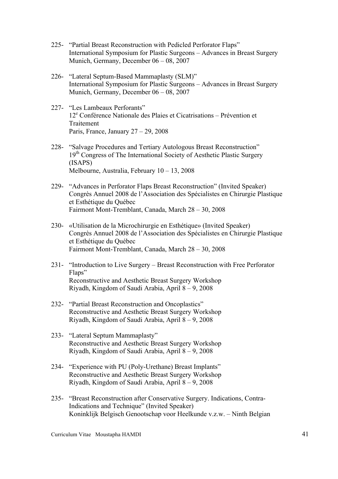- 225- "Partial Breast Reconstruction with Pedicled Perforator Flaps" International Symposium for Plastic Surgeons – Advances in Breast Surgery Munich, Germany, December 06 – 08, 2007
- 226- "Lateral Septum-Based Mammaplasty (SLM)" International Symposium for Plastic Surgeons – Advances in Breast Surgery Munich, Germany, December 06 – 08, 2007
- 227- "Les Lambeaux Perforants"  $12<sup>e</sup>$  Conférence Nationale des Plaies et Cicatrisations – Prévention et **Traitement** Paris, France, January  $27 - 29$ , 2008
- 228- "Salvage Procedures and Tertiary Autologous Breast Reconstruction" 19<sup>th</sup> Congress of The International Society of Aesthetic Plastic Surgery (ISAPS) Melbourne, Australia, February 10 – 13, 2008
- 229- "Advances in Perforator Flaps Breast Reconstruction" (Invited Speaker) Congrès Annuel 2008 de l'Association des Spécialistes en Chirurgie Plastique et Esthétique du Québec Fairmont Mont-Tremblant, Canada, March 28 – 30, 2008
- 230- «Utilisation de la Microchirurgie en Esthétique» (Invited Speaker) Congrès Annuel 2008 de l'Association des Spécialistes en Chirurgie Plastique et Esthétique du Québec Fairmont Mont-Tremblant, Canada, March 28 – 30, 2008
- 231- "Introduction to Live Surgery Breast Reconstruction with Free Perforator Flaps" Reconstructive and Aesthetic Breast Surgery Workshop Riyadh, Kingdom of Saudi Arabia, April 8 – 9, 2008
- 232- "Partial Breast Reconstruction and Oncoplastics" Reconstructive and Aesthetic Breast Surgery Workshop Riyadh, Kingdom of Saudi Arabia, April 8 – 9, 2008
- 233- "Lateral Septum Mammaplasty" Reconstructive and Aesthetic Breast Surgery Workshop Riyadh, Kingdom of Saudi Arabia, April 8 – 9, 2008
- 234- "Experience with PU (Poly-Urethane) Breast Implants" Reconstructive and Aesthetic Breast Surgery Workshop Riyadh, Kingdom of Saudi Arabia, April 8 – 9, 2008
- 235- "Breast Reconstruction after Conservative Surgery. Indications, Contra-Indications and Technique" (Invited Speaker) Koninklijk Belgisch Genootschap voor Heelkunde v.z.w. – Ninth Belgian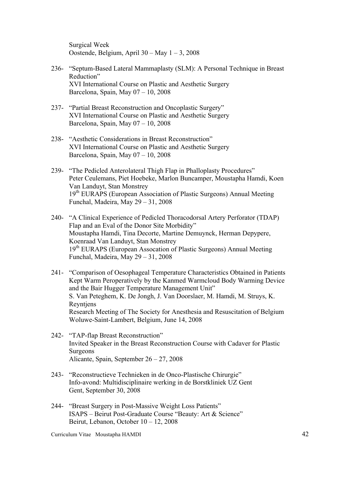Surgical Week Oostende, Belgium, April 30 – May 1 – 3, 2008

- 236- "Septum-Based Lateral Mammaplasty (SLM): A Personal Technique in Breast Reduction" XVI International Course on Plastic and Aesthetic Surgery Barcelona, Spain, May 07 – 10, 2008
- 237- "Partial Breast Reconstruction and Oncoplastic Surgery" XVI International Course on Plastic and Aesthetic Surgery Barcelona, Spain, May 07 – 10, 2008
- 238- "Aesthetic Considerations in Breast Reconstruction" XVI International Course on Plastic and Aesthetic Surgery Barcelona, Spain, May 07 – 10, 2008
- 239- "The Pedicled Anterolateral Thigh Flap in Phalloplasty Procedures" Peter Ceulemans, Piet Hoebeke, Marlon Buncamper, Moustapha Hamdi, Koen Van Landuyt, Stan Monstrey 19<sup>th</sup> EURAPS (European Association of Plastic Surgeons) Annual Meeting Funchal, Madeira, May 29 – 31, 2008
- 240- "A Clinical Experience of Pedicled Thoracodorsal Artery Perforator (TDAP) Flap and an Eval of the Donor Site Morbidity" Moustapha Hamdi, Tina Decorte, Martine Demuynck, Herman Depypere, Koenraad Van Landuyt, Stan Monstrey 19<sup>th</sup> EURAPS (European Assocation of Plastic Surgeons) Annual Meeting Funchal, Madeira, May 29 – 31, 2008
- 241- "Comparison of Oesophageal Temperature Characteristics Obtained in Patients Kept Warm Peroperatively by the Kanmed Warmcloud Body Warming Device and the Bair Hugger Temperature Management Unit" S. Van Peteghem, K. De Jongh, J. Van Doorslaer, M. Hamdi, M. Struys, K. Reyntjens Research Meeting of The Society for Anesthesia and Resuscitation of Belgium Woluwe-Saint-Lambert, Belgium, June 14, 2008
- 242- "TAP-flap Breast Reconstruction" Invited Speaker in the Breast Reconstruction Course with Cadaver for Plastic Surgeons Alicante, Spain, September 26 – 27, 2008
- 243- "Reconstructieve Technieken in de Onco-Plastische Chirurgie" Info-avond: Multidisciplinaire werking in de Borstkliniek UZ Gent Gent, September 30, 2008
- 244- "Breast Surgery in Post-Massive Weight Loss Patients" ISAPS – Beirut Post-Graduate Course "Beauty: Art & Science" Beirut, Lebanon, October 10 – 12, 2008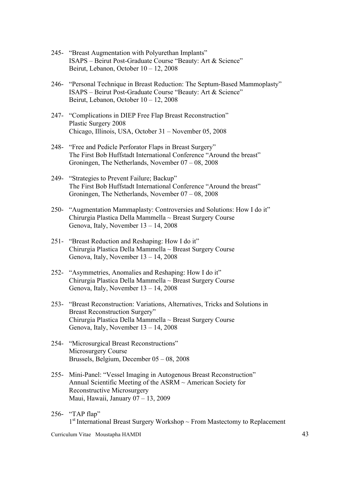- 245- "Breast Augmentation with Polyurethan Implants" ISAPS – Beirut Post-Graduate Course "Beauty: Art & Science" Beirut, Lebanon, October 10 – 12, 2008
- 246- "Personal Technique in Breast Reduction: The Septum-Based Mammoplasty" ISAPS – Beirut Post-Graduate Course "Beauty: Art & Science" Beirut, Lebanon, October 10 – 12, 2008
- 247- "Complications in DIEP Free Flap Breast Reconstruction" Plastic Surgery 2008 Chicago, Illinois, USA, October 31 – November 05, 2008
- 248- "Free and Pedicle Perforator Flaps in Breast Surgery" The First Bob Huffstadt International Conference "Around the breast" Groningen, The Netherlands, November 07 – 08, 2008
- 249- "Strategies to Prevent Failure; Backup" The First Bob Huffstadt International Conference "Around the breast" Groningen, The Netherlands, November 07 – 08, 2008
- 250- "Augmentation Mammaplasty: Controversies and Solutions: How I do it" Chirurgia Plastica Della Mammella ~ Breast Surgery Course Genova, Italy, November 13 – 14, 2008
- 251- "Breast Reduction and Reshaping: How I do it" Chirurgia Plastica Della Mammella ~ Breast Surgery Course Genova, Italy, November 13 – 14, 2008
- 252- "Asymmetries, Anomalies and Reshaping: How I do it" Chirurgia Plastica Della Mammella ~ Breast Surgery Course Genova, Italy, November 13 – 14, 2008
- 253- "Breast Reconstruction: Variations, Alternatives, Tricks and Solutions in Breast Reconstruction Surgery" Chirurgia Plastica Della Mammella ~ Breast Surgery Course Genova, Italy, November 13 – 14, 2008
- 254- "Microsurgical Breast Reconstructions" Microsurgery Course Brussels, Belgium, December 05 – 08, 2008
- 255- Mini-Panel: "Vessel Imaging in Autogenous Breast Reconstruction" Annual Scientific Meeting of the ASRM ~ American Society for Reconstructive Microsurgery Maui, Hawaii, January 07 – 13, 2009
- 256- "TAP flap"  $1<sup>st</sup>$  International Breast Surgery Workshop  $\sim$  From Mastectomy to Replacement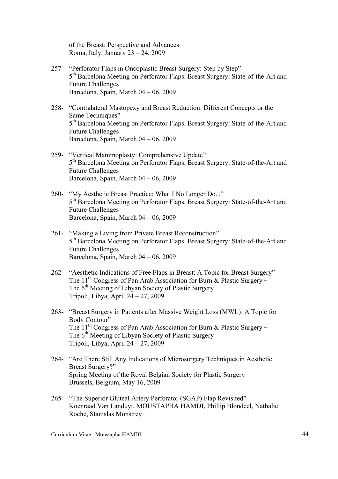of the Breast: Perspective and Advances Roma, Italy, January 23 – 24, 2009

- 257- "Perforator Flaps in Oncoplastic Breast Surgery: Step by Step" 5<sup>th</sup> Barcelona Meeting on Perforator Flaps. Breast Surgery: State-of-the-Art and Future Challenges Barcelona, Spain, March 04 – 06, 2009
- 258- "Contralateral Mastopexy and Breast Reduction: Different Concepts or the Same Techniques" 5<sup>th</sup> Barcelona Meeting on Perforator Flaps. Breast Surgery: State-of-the-Art and Future Challenges Barcelona, Spain, March 04 – 06, 2009
- 259- "Vertical Mammoplasty: Comprehensive Update" 5<sup>th</sup> Barcelona Meeting on Perforator Flaps. Breast Surgery: State-of-the-Art and Future Challenges Barcelona, Spain, March 04 – 06, 2009
- 260- "My Aesthetic Breast Practice: What I No Longer Do..." 5<sup>th</sup> Barcelona Meeting on Perforator Flaps. Breast Surgery: State-of-the-Art and Future Challenges Barcelona, Spain, March 04 – 06, 2009
- 261- "Making a Living from Private Breast Reconstruction" 5<sup>th</sup> Barcelona Meeting on Perforator Flaps. Breast Surgery: State-of-the-Art and Future Challenges Barcelona, Spain, March 04 – 06, 2009
- 262- "Aesthetic Indications of Free Flaps in Breast: A Topic for Breast Surgery" The 11<sup>th</sup> Congress of Pan Arab Association for Burn & Plastic Surgery  $\sim$ The 6<sup>th</sup> Meeting of Libyan Society of Plastic Surgery Tripoli, Libya, April 24 – 27, 2009
- 263- "Breast Surgery in Patients after Massive Weight Loss (MWL): A Topic for Body Contour" The 11<sup>th</sup> Congress of Pan Arab Association for Burn & Plastic Surgery  $\sim$ The 6<sup>th</sup> Meeting of Libyan Society of Plastic Surgery Tripoli, Libya, April 24 – 27, 2009
- 264- "Are There Still Any Indications of Microsurgery Techniques in Aesthetic Breast Surgery?" Spring Meeting of the Royal Belgian Society for Plastic Surgery Brussels, Belgium, May 16, 2009
- 265- "The Superior Gluteal Artery Perforator (SGAP) Flap Revisited" Koenraad Van Landuyt, MOUSTAPHA HAMDI, Phillip Blondeel, Nathalie Roche, Stanislas Monstrey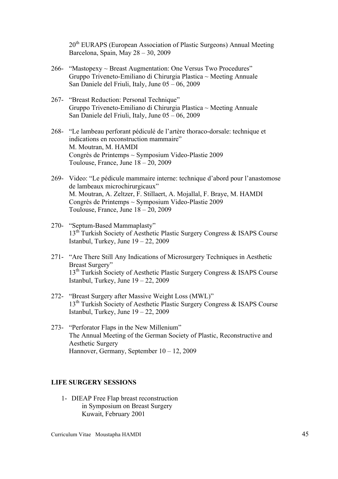20<sup>th</sup> EURAPS (European Association of Plastic Surgeons) Annual Meeting Barcelona, Spain, May 28 – 30, 2009

- 266- "Mastopexy ~ Breast Augmentation: One Versus Two Procedures" Gruppo Triveneto-Emiliano di Chirurgia Plastica ~ Meeting Annuale San Daniele del Friuli, Italy, June 05 – 06, 2009
- 267- "Breast Reduction: Personal Technique" Gruppo Triveneto-Emiliano di Chirurgia Plastica ~ Meeting Annuale San Daniele del Friuli, Italy, June 05 – 06, 2009
- 268- "Le lambeau perforant pédiculé de l'artère thoraco-dorsale: technique et indications en reconstruction mammaire" M. Moutran, M. HAMDI Congrès de Printemps ~ Symposium Video-Plastie 2009 Toulouse, France, June  $18 - 20$ , 2009
- 269- Video: "Le pédicule mammaire interne: technique d'abord pour l'anastomose de lambeaux microchirurgicaux" M. Moutran, A. Zeltzer, F. Stillaert, A. Mojallal, F. Braye, M. HAMDI Congrès de Printemps ~ Symposium Video-Plastie 2009 Toulouse, France, June  $18 - 20$ , 2009
- 270- "Septum-Based Mammaplasty"  $13<sup>th</sup>$  Turkish Society of Aesthetic Plastic Surgery Congress & ISAPS Course Istanbul, Turkey, June  $19 - 22$ , 2009
- 271- "Are There Still Any Indications of Microsurgery Techniques in Aesthetic Breast Surgery" 13<sup>th</sup> Turkish Society of Aesthetic Plastic Surgery Congress & ISAPS Course Istanbul, Turkey, June  $19 - 22$ , 2009
- 272- "Breast Surgery after Massive Weight Loss (MWL)" 13<sup>th</sup> Turkish Society of Aesthetic Plastic Surgery Congress & ISAPS Course Istanbul, Turkey, June 19 – 22, 2009
- 273- "Perforator Flaps in the New Millenium" The Annual Meeting of the German Society of Plastic, Reconstructive and Aesthetic Surgery Hannover, Germany, September 10 – 12, 2009

## **LIFE SURGERY SESSIONS**

1- DIEAP Free Flap breast reconstruction in Symposium on Breast Surgery Kuwait, February 2001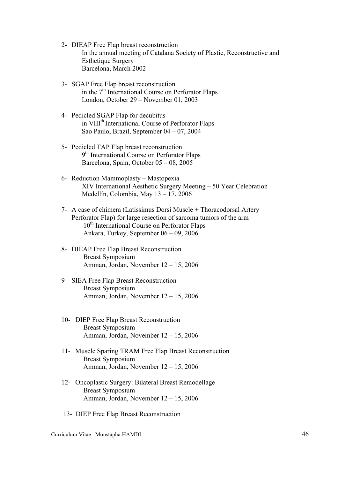- 2- DIEAP Free Flap breast reconstruction In the annual meeting of Catalana Society of Plastic, Reconstructive and Esthetique Surgery Barcelona, March 2002
- 3- SGAP Free Flap breast reconstruction in the  $7<sup>th</sup>$  International Course on Perforator Flaps London, October 29 – November 01, 2003
- 4- Pedicled SGAP Flap for decubitus in VIII<sup>th</sup> International Course of Perforator Flaps Sao Paulo, Brazil, September 04 – 07, 2004
- 5- Pedicled TAP Flap breast reconstruction 9<sup>th</sup> International Course on Perforator Flaps Barcelona, Spain, October 05 – 08, 2005
- 6- Reduction Mammoplasty Mastopexia XIV International Aesthetic Surgery Meeting – 50 Year Celebration Medellín, Colombia, May 13 – 17, 2006
- 7- A case of chimera (Latissimus Dorsi Muscle + Thoracodorsal Artery Perforator Flap) for large resection of sarcoma tumors of the arm 10<sup>th</sup> International Course on Perforator Flaps Ankara, Turkey, September 06 – 09, 2006
- 8- DIEAP Free Flap Breast Reconstruction Breast Symposium Amman, Jordan, November 12 – 15, 2006
- 9- SIEA Free Flap Breast Reconstruction Breast Symposium Amman, Jordan, November 12 – 15, 2006
- 10- DIEP Free Flap Breast Reconstruction Breast Symposium Amman, Jordan, November 12 – 15, 2006
- 11- Muscle Sparing TRAM Free Flap Breast Reconstruction Breast Symposium Amman, Jordan, November 12 – 15, 2006
- 12- Oncoplastic Surgery: Bilateral Breast Remodellage Breast Symposium Amman, Jordan, November 12 – 15, 2006
- 13- DIEP Free Flap Breast Reconstruction